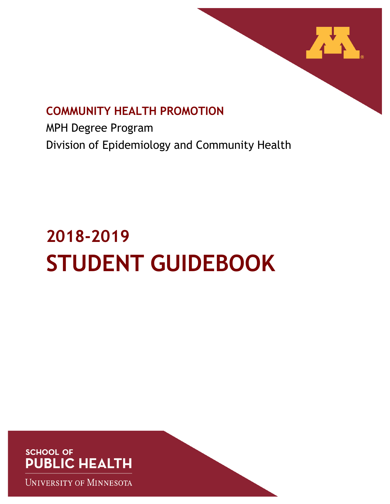

# **COMMUNITY HEALTH PROMOTION**

MPH Degree Program Division of Epidemiology and Community Health

# **2018-2019 STUDENT GUIDEBOOK**

**SCHOOL OF PUBLIC HEALTH** 

**UNIVERSITY OF MINNESOTA**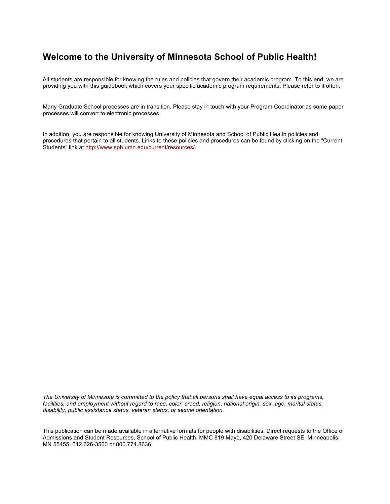# **Welcome to the University of Minnesota School of Public Health!**

All students are responsible for knowing the rules and policies that govern their academic program. To this end, we are providing you with this guidebook which covers your specific academic program requirements. Please refer to it often.

Many Graduate School processes are in transition. Please stay in touch with your Program Coordinator as some paper processes will convert to electronic processes.

In addition, you are responsible for knowing University of Minnesota and School of Public Health policies and procedures that pertain to all students. Links to these policies and procedures can be found by clicking on the "Current Students" link at http://www.sph.umn.edu/current/resources/.

*The University of Minnesota is committed to the policy that all persons shall have equal access to its programs, facilities, and employment without regard to race, color, creed, religion, national origin, sex, age, marital status, disability, public assistance status, veteran status, or sexual orientation.*

This publication can be made available in alternative formats for people with disabilities. Direct requests to the Office of Admissions and Student Resources, School of Public Health, MMC 819 Mayo, 420 Delaware Street SE, Minneapolis, MN 55455; 612.626-3500 or 800.774.8636.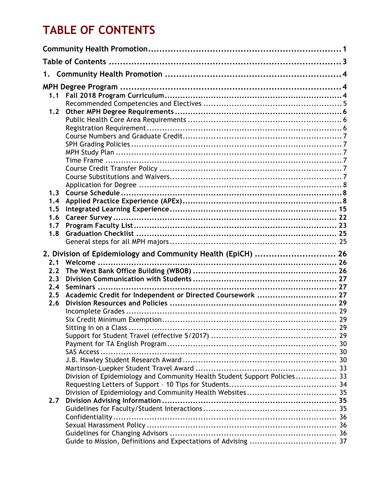# **TABLE OF CONTENTS**

| 1.1 |                                                                           |  |  |  |
|-----|---------------------------------------------------------------------------|--|--|--|
|     |                                                                           |  |  |  |
| 1.2 |                                                                           |  |  |  |
|     |                                                                           |  |  |  |
|     |                                                                           |  |  |  |
|     |                                                                           |  |  |  |
|     |                                                                           |  |  |  |
|     |                                                                           |  |  |  |
|     |                                                                           |  |  |  |
|     |                                                                           |  |  |  |
|     |                                                                           |  |  |  |
|     |                                                                           |  |  |  |
| 1.3 |                                                                           |  |  |  |
| 1.4 |                                                                           |  |  |  |
| 1.5 |                                                                           |  |  |  |
| 1.6 |                                                                           |  |  |  |
| 1.7 |                                                                           |  |  |  |
| 1.8 |                                                                           |  |  |  |
|     |                                                                           |  |  |  |
|     |                                                                           |  |  |  |
|     | 2. Division of Epidemiology and Community Health (EpiCH)  26              |  |  |  |
| 2.1 |                                                                           |  |  |  |
| 2.2 |                                                                           |  |  |  |
| 2.3 |                                                                           |  |  |  |
| 2.4 |                                                                           |  |  |  |
| 2.5 | Academic Credit for Independent or Directed Coursework  27                |  |  |  |
| 2.6 |                                                                           |  |  |  |
|     |                                                                           |  |  |  |
|     |                                                                           |  |  |  |
|     | Sitting in on a Class.                                                    |  |  |  |
|     |                                                                           |  |  |  |
|     |                                                                           |  |  |  |
|     |                                                                           |  |  |  |
|     |                                                                           |  |  |  |
|     |                                                                           |  |  |  |
|     | Division of Epidemiology and Community Health Student Support Policies 33 |  |  |  |
|     |                                                                           |  |  |  |
|     |                                                                           |  |  |  |
| 2.7 |                                                                           |  |  |  |
|     |                                                                           |  |  |  |
|     |                                                                           |  |  |  |
|     |                                                                           |  |  |  |
|     |                                                                           |  |  |  |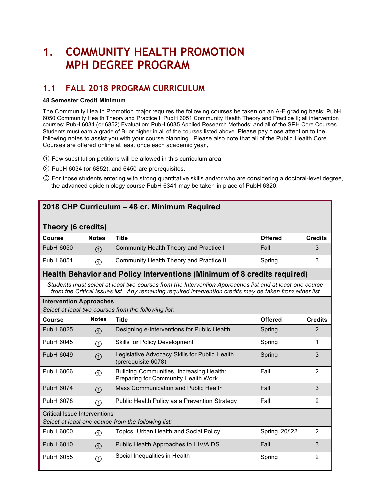# **1. COMMUNITY HEALTH PROMOTION MPH DEGREE PROGRAM**

# **1.1 FALL 2018 PROGRAM CURRICULUM**

#### **48 Semester Credit Minimum**

The Community Health Promotion major requires the following courses be taken on an A-F grading basis: PubH 6050 Community Health Theory and Practice I; PubH 6051 Community Health Theory and Practice II; all intervention courses; PubH 6034 (or 6852) Evaluation; PubH 6035 Applied Research Methods; and all of the SPH Core Courses. Students must earn a grade of B- or higher in all of the courses listed above. Please pay close attention to the following notes to assist you with your course planning. Please also note that all of the Public Health Core Courses are offered online at least once each academic year.

- ① Few substitution petitions will be allowed in this curriculum area.
- ② PubH 6034 (or 6852), and 6450 are prerequisites.
- ③ For those students entering with strong quantitative skills and/or who are considering a doctoral-level degree, the advanced epidemiology course PubH 6341 may be taken in place of PubH 6320.

# **2018 CHP Curriculum – 48 cr. Minimum Required**

### **Theory (6 credits)**

| <b>Course</b> | <b>Notes</b>                           | Title                                   | <b>Offered</b> | <b>Credits</b> |
|---------------|----------------------------------------|-----------------------------------------|----------------|----------------|
| PubH 6050     | $_{\tiny\textcircled{\scriptsize{1}}}$ | Community Health Theory and Practice I  | Fall           |                |
| PubH 6051     | ➀                                      | Community Health Theory and Practice II | Spring         |                |

# **Health Behavior and Policy Interventions (Minimum of 8 credits required)**

*Students must select at least two courses from the Intervention Approaches list and at least one course from the Critical Issues list. Any remaining required intervention credits may be taken from either list*

| Intervention Approaches                              |  |
|------------------------------------------------------|--|
| Select at least two courses from the following list: |  |

| Course    | <b>Notes</b>                                                                               | <b>Title</b><br><b>Offered</b>                                                  |        | <b>Credits</b> |
|-----------|--------------------------------------------------------------------------------------------|---------------------------------------------------------------------------------|--------|----------------|
| PubH 6025 | ➀                                                                                          | Designing e-Interventions for Public Health                                     | Spring | 2              |
| PubH 6045 | ①                                                                                          | <b>Skills for Policy Development</b>                                            | Spring |                |
| PubH 6049 | (1)                                                                                        | Legislative Advocacy Skills for Public Health<br>(prerequisite 6078)            | Spring | 3              |
| PubH 6066 | (T)                                                                                        | Building Communities, Increasing Health:<br>Preparing for Community Health Work | Fall   | 2              |
| PubH 6074 | $\circled{1}$                                                                              | Mass Communication and Public Health                                            | Fall   | 3              |
| PubH 6078 | ①                                                                                          | Public Health Policy as a Prevention Strategy                                   | Fall   | 2              |
|           | <b>Critical Issue Interventions</b><br>Select at least one course from the following list: |                                                                                 |        |                |
|           |                                                                                            |                                                                                 |        |                |

| PubH 6000 | ᠑   | Topics: Urban Health and Social Policy | Spring '20/'22 |  |
|-----------|-----|----------------------------------------|----------------|--|
| PubH 6010 | (1) | Public Health Approaches to HIV/AIDS   | Fall           |  |
| PubH 6055 | ↺   | Social Inequalities in Health          | Spring         |  |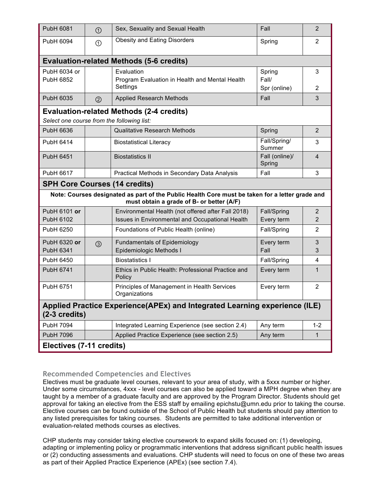| PubH 6081                                                                                 | $\odot$                                                   | Sex, Sexuality and Sexual Health<br>Fall                                                                                                     |                                 |                |  |
|-------------------------------------------------------------------------------------------|-----------------------------------------------------------|----------------------------------------------------------------------------------------------------------------------------------------------|---------------------------------|----------------|--|
| PubH 6094                                                                                 | <b>Obesity and Eating Disorders</b><br>$\odot$            |                                                                                                                                              | Spring                          | 2              |  |
|                                                                                           |                                                           | <b>Evaluation-related Methods (5-6 credits)</b>                                                                                              |                                 |                |  |
| PubH 6034 or<br>Evaluation<br>PubH 6852<br>Program Evaluation in Health and Mental Health |                                                           | Settings                                                                                                                                     | Spring<br>Fall/<br>Spr (online) | 3<br>2         |  |
| PubH 6035                                                                                 | (2)                                                       | <b>Applied Research Methods</b>                                                                                                              | Fall                            | 3              |  |
| Select one course from the following list:                                                |                                                           | <b>Evaluation-related Methods (2-4 credits)</b>                                                                                              |                                 |                |  |
| PubH 6636                                                                                 |                                                           | <b>Qualitative Research Methods</b>                                                                                                          | Spring                          | $\overline{2}$ |  |
| PubH 6414                                                                                 |                                                           | <b>Biostatistical Literacy</b>                                                                                                               | Fall/Spring/<br>Summer          | 3              |  |
| <b>PubH 6451</b>                                                                          |                                                           | <b>Biostatistics II</b>                                                                                                                      | Fall (online)/<br>Spring        | $\overline{4}$ |  |
| PubH 6617                                                                                 | 3<br>Practical Methods in Secondary Data Analysis<br>Fall |                                                                                                                                              |                                 |                |  |
| <b>SPH Core Courses (14 credits)</b>                                                      |                                                           |                                                                                                                                              |                                 |                |  |
|                                                                                           |                                                           | Note: Courses designated as part of the Public Health Core must be taken for a letter grade and<br>must obtain a grade of B- or better (A/F) |                                 |                |  |
| PubH 6101 or                                                                              |                                                           | Environmental Health (not offered after Fall 2018)                                                                                           | Fall/Spring                     | $\overline{2}$ |  |
| PubH 6102                                                                                 |                                                           | Issues in Environmental and Occupational Health                                                                                              | Every term                      | $\overline{2}$ |  |
| PubH 6250                                                                                 |                                                           | Foundations of Public Health (online)                                                                                                        | Fall/Spring                     | $\overline{2}$ |  |
| PubH 6320 or<br>PubH 6341                                                                 | $\circled{3}$                                             | <b>Fundamentals of Epidemiology</b><br>Epidemiologic Methods I                                                                               | Every term<br>Fall              | 3<br>3         |  |
| PubH 6450                                                                                 |                                                           | <b>Biostatistics I</b>                                                                                                                       | Fall/Spring                     | 4              |  |
| PubH 6741                                                                                 |                                                           | Ethics in Public Health: Professional Practice and<br>Policy                                                                                 | Every term                      | $\mathbf{1}$   |  |
| PubH 6751                                                                                 |                                                           | Principles of Management in Health Services<br>Organizations                                                                                 | Every term                      | $\overline{2}$ |  |
| $(2-3$ credits)                                                                           |                                                           | Applied Practice Experience(APEx) and Integrated Learning experience (ILE)                                                                   |                                 |                |  |
| PubH 7094                                                                                 |                                                           | Integrated Learning Experience (see section 2.4)                                                                                             | Any term                        | $1 - 2$        |  |
| <b>PubH 7096</b><br>Applied Practice Experience (see section 2.5)<br>Any term             |                                                           |                                                                                                                                              | $\mathbf{1}$                    |                |  |
| Electives (7-11 credits)                                                                  |                                                           |                                                                                                                                              |                                 |                |  |

### **Recommended Competencies and Electives**

Electives must be graduate level courses, relevant to your area of study, with a 5xxx number or higher. Under some circumstances, 4xxx - level courses can also be applied toward a MPH degree when they are taught by a member of a graduate faculty and are approved by the Program Director. Students should get approval for taking an elective from the ESS staff by emailing epichstu@umn.edu prior to taking the course. Elective courses can be found outside of the School of Public Health but students should pay attention to any listed prerequisites for taking courses. Students are permitted to take additional intervention or evaluation-related methods courses as electives.

CHP students may consider taking elective coursework to expand skills focused on: (1) developing, adapting or implementing policy or programmatic interventions that address significant public health issues or (2) conducting assessments and evaluations. CHP students will need to focus on one of these two areas as part of their Applied Practice Experience (APEx) (see section 7.4).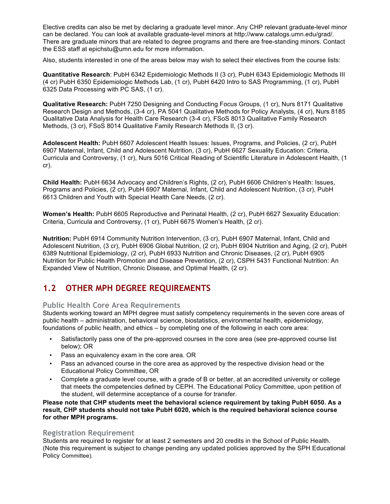Elective credits can also be met by declaring a graduate level minor. Any CHP relevant graduate-level minor can be declared. You can look at available graduate-level minors at http://www.catalogs.umn.edu/grad/. There are graduate minors that are related to degree programs and there are free-standing minors. Contact the ESS staff at epichstu@umn.edu for more information.

Also, students interested in one of the areas below may wish to select their electives from the course lists:

**Quantitative Research**: PubH 6342 Epidemiologic Methods II (3 cr), PubH 6343 Epidemiologic Methods III (4 cr) PubH 6350 Epidemiologic Methods Lab, (1 cr), PubH 6420 Intro to SAS Programming, (1 cr), PubH 6325 Data Processing with PC SAS, (1 cr).

**Qualitative Research:** PubH 7250 Designing and Conducting Focus Groups, (1 cr), Nurs 8171 Qualitative Research Design and Methods, (3-4 cr), PA 5041 Qualitative Methods for Policy Analysts, (4 cr), Nurs 8185 Qualitative Data Analysis for Health Care Research (3-4 cr), FSoS 8013 Qualitative Family Research Methods, (3 cr), FSoS 8014 Qualitative Family Research Methods II, (3 cr).

**Adolescent Health:** PubH 6607 Adolescent Health Issues: Issues, Programs, and Policies, (2 cr), PubH 6907 Maternal, Infant, Child and Adolescent Nutrition, (3 cr), PubH 6627 Sexuality Education: Criteria, Curricula and Controversy, (1 cr), Nurs 5016 Critical Reading of Scientific Literature in Adolescent Health, (1 cr).

**Child Health:** PubH 6634 Advocacy and Children's Rights, (2 cr), PubH 6606 Children's Health: Issues, Programs and Policies, (2 cr), PubH 6907 Maternal, Infant, Child and Adolescent Nutrition, (3 cr), PubH 6613 Children and Youth with Special Health Care Needs, (2 cr).

**Women's Health:** PubH 6605 Reproductive and Perinatal Health, (2 cr), PubH 6627 Sexuality Education: Criteria, Curricula and Controversy, (1 cr), PubH 6675 Women's Health, (2 cr).

**Nutrition:** PubH 6914 Community Nutrition Intervention, (3 cr), PubH 6907 Maternal, Infant, Child and Adolescent Nutrition, (3 cr), PubH 6906 Global Nutrition, (2 cr), PubH 6904 Nutrition and Aging, (2 cr), PubH 6389 Nutritional Epidemiology, (2 cr), PubH 6933 Nutrition and Chronic Diseases, (2 cr), PubH 6905 Nutrition for Public Health Promotion and Disease Prevention, (2 cr), CSPH 5431 Functional Nutrition: An Expanded View of Nutrition, Chronic Disease, and Optimal Health, (2 cr).

# **1.2 OTHER MPH DEGREE REQUIREMENTS**

### **Public Health Core Area Requirements**

Students working toward an MPH degree must satisfy competency requirements in the seven core areas of public health – administration, behavioral science, biostatistics, environmental health, epidemiology, foundations of public health, and ethics – by completing one of the following in each core area:

- Satisfactorily pass one of the pre-approved courses in the core area (see pre-approved course list below); OR
- Pass an equivalency exam in the core area. OR
- Pass an advanced course in the core area as approved by the respective division head or the Educational Policy Committee, OR
- Complete a graduate level course, with a grade of B or better, at an accredited university or college that meets the competencies defined by CEPH. The Educational Policy Committee, upon petition of the student, will determine acceptance of a course for transfer.

**Please note that CHP students meet the behavioral science requirement by taking PubH 6050. As a result, CHP students should not take PubH 6020, which is the required behavioral science course for other MPH programs.**

#### **Registration Requirement**

Students are required to register for at least 2 semesters and 20 credits in the School of Public Health. (Note this requirement is subject to change pending any updated policies approved by the SPH Educational Policy Committee).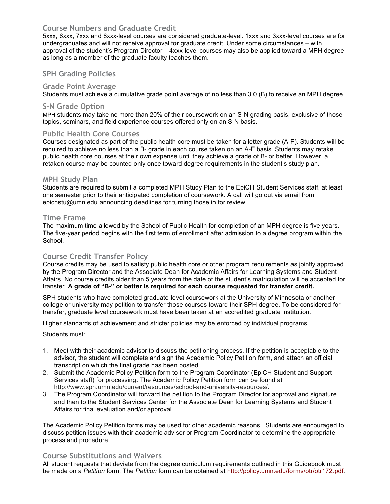### **Course Numbers and Graduate Credit**

5xxx, 6xxx, 7xxx and 8xxx-level courses are considered graduate-level. 1xxx and 3xxx-level courses are for undergraduates and will not receive approval for graduate credit. Under some circumstances – with approval of the student's Program Director – 4xxx-level courses may also be applied toward a MPH degree as long as a member of the graduate faculty teaches them.

#### **SPH Grading Policies**

#### **Grade Point Average**

Students must achieve a cumulative grade point average of no less than 3.0 (B) to receive an MPH degree.

#### **S-N Grade Option**

MPH students may take no more than 20% of their coursework on an S-N grading basis, exclusive of those topics, seminars, and field experience courses offered only on an S-N basis.

#### **Public Health Core Courses**

Courses designated as part of the public health core must be taken for a letter grade (A-F). Students will be required to achieve no less than a B- grade in each course taken on an A-F basis. Students may retake public health core courses at their own expense until they achieve a grade of B- or better. However, a retaken course may be counted only once toward degree requirements in the student's study plan.

#### **MPH Study Plan**

Students are required to submit a completed MPH Study Plan to the EpiCH Student Services staff, at least one semester prior to their anticipated completion of coursework. A call will go out via email from epichstu@umn.edu announcing deadlines for turning those in for review.

#### **Time Frame**

The maximum time allowed by the School of Public Health for completion of an MPH degree is five years. The five-year period begins with the first term of enrollment after admission to a degree program within the School.

#### **Course Credit Transfer Policy**

Course credits may be used to satisfy public health core or other program requirements as jointly approved by the Program Director and the Associate Dean for Academic Affairs for Learning Systems and Student Affairs. No course credits older than 5 years from the date of the student's matriculation will be accepted for transfer. **A grade of "B-" or better is required for each course requested for transfer credit.**

SPH students who have completed graduate-level coursework at the University of Minnesota or another college or university may petition to transfer those courses toward their SPH degree. To be considered for transfer, graduate level coursework must have been taken at an accredited graduate institution.

Higher standards of achievement and stricter policies may be enforced by individual programs.

#### Students must:

- 1. Meet with their academic advisor to discuss the petitioning process. If the petition is acceptable to the advisor, the student will complete and sign the Academic Policy Petition form, and attach an official transcript on which the final grade has been posted.
- 2. Submit the Academic Policy Petition form to the Program Coordinator (EpiCH Student and Support Services staff) for processing. The Academic Policy Petition form can be found at http://www.sph.umn.edu/current/resources/school-and-university-resources/.
- 3. The Program Coordinator will forward the petition to the Program Director for approval and signature and then to the Student Services Center for the Associate Dean for Learning Systems and Student Affairs for final evaluation and/or approval.

The Academic Policy Petition forms may be used for other academic reasons. Students are encouraged to discuss petition issues with their academic advisor or Program Coordinator to determine the appropriate process and procedure.

#### **Course Substitutions and Waivers**

All student requests that deviate from the degree curriculum requirements outlined in this Guidebook must be made on a *Petition* form. The *Petition* form can be obtained at http://policy.umn.edu/forms/otr/otr172.pdf.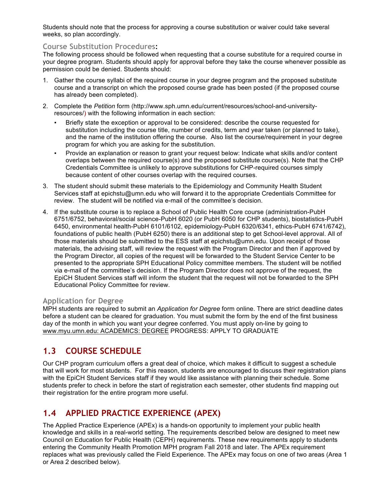Students should note that the process for approving a course substitution or waiver could take several weeks, so plan accordingly.

#### **Course Substitution Procedures:**

The following process should be followed when requesting that a course substitute for a required course in your degree program. Students should apply for approval before they take the course whenever possible as permission could be denied. Students should:

- 1. Gather the course syllabi of the required course in your degree program and the proposed substitute course and a transcript on which the proposed course grade has been posted (if the proposed course has already been completed).
- 2. Complete the *Petition* form (http://www.sph.umn.edu/current/resources/school-and-universityresources/) with the following information in each section:
	- Briefly state the exception or approval to be considered: describe the course requested for substitution including the course title, number of credits, term and year taken (or planned to take), and the name of the institution offering the course. Also list the course/requirement in your degree program for which you are asking for the substitution.
	- Provide an explanation or reason to grant your request below: Indicate what skills and/or content overlaps between the required course(s) and the proposed substitute course(s). Note that the CHP Credentials Committee is unlikely to approve substitutions for CHP-required courses simply because content of other courses overlap with the required courses.
- 3. The student should submit these materials to the Epidemiology and Community Health Student Services staff at epichstu@umn.edu who will forward it to the appropriate Credentials Committee for review. The student will be notified via e-mail of the committee's decision.
- 4. If the substitute course is to replace a School of Public Health Core course (administration-PubH 6751/6752, behavioral/social science-PubH 6020 (or PubH 6050 for CHP students), biostatistics-PubH 6450, environmental health-PubH 6101/6102, epidemiology-PubH 6320/6341, ethics-PubH 6741/6742), foundations of public health (PubH 6250) there is an additional step to get School-level approval. All of those materials should be submitted to the ESS staff at epichstu@umn.edu. Upon receipt of those materials, the advising staff, will review the request with the Program Director and then if approved by the Program Director, all copies of the request will be forwarded to the Student Service Center to be presented to the appropriate SPH Educational Policy committee members. The student will be notified via e-mail of the committee's decision. If the Program Director does not approve of the request, the EpiCH Student Services staff will inform the student that the request will not be forwarded to the SPH Educational Policy Committee for review.

### **Application for Degree**

MPH students are required to submit an *Application for Degree* form online. There are strict deadline dates before a student can be cleared for graduation. You must submit the form by the end of the first business day of the month in which you want your degree conferred. You must apply on-line by going to www.myu.umn.edu: ACADEMICS: DEGREE PROGRESS: APPLY TO GRADUATE

# **1.3 COURSE SCHEDULE**

Our CHP program curriculum offers a great deal of choice, which makes it difficult to suggest a schedule that will work for most students. For this reason, students are encouraged to discuss their registration plans with the EpiCH Student Services staff if they would like assistance with planning their schedule. Some students prefer to check in before the start of registration each semester, other students find mapping out their registration for the entire program more useful.

# **1.4 APPLIED PRACTICE EXPERIENCE (APEX)**

The Applied Practice Experience (APEx) is a hands-on opportunity to implement your public health knowledge and skills in a real-world setting. The requirements described below are designed to meet new Council on Education for Public Health (CEPH) requirements. These new requirements apply to students entering the Community Health Promotion MPH program Fall 2018 and later. The APEx requirement replaces what was previously called the Field Experience. The APEx may focus on one of two areas (Area 1 or Area 2 described below).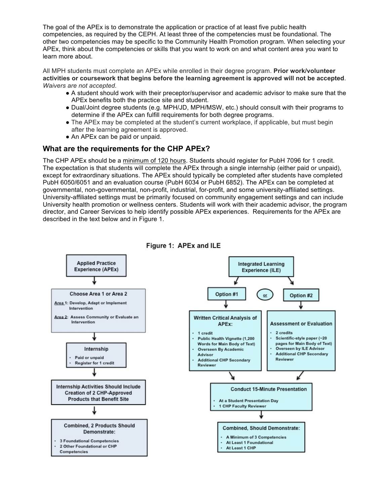The goal of the APEx is to demonstrate the application or practice of at least five public health competencies, as required by the CEPH. At least three of the competencies must be foundational. The other two competencies may be specific to the Community Health Promotion program. When selecting your APEx, think about the competencies or skills that you want to work on and what content area you want to learn more about.

All MPH students must complete an APEx while enrolled in their degree program. **Prior work/volunteer activities or coursework that begins before the learning agreement is approved will not be accepted**. *Waivers are not accepted.*

- A student should work with their preceptor/supervisor and academic advisor to make sure that the APEx benefits both the practice site and student.
- Dual/Joint degree students (e.g. MPH/JD, MPH/MSW, etc.) should consult with their programs to determine if the APEx can fulfill requirements for both degree programs.
- The APEx may be completed at the student's current workplace, if applicable, but must begin after the learning agreement is approved.
- An APEx can be paid or unpaid.

# **What are the requirements for the CHP APEx?**

The CHP APEx should be a minimum of 120 hours. Students should register for PubH 7096 for 1 credit. The expectation is that students will complete the APEx through a single internship (either paid or unpaid), except for extraordinary situations. The APEx should typically be completed after students have completed PubH 6050/6051 and an evaluation course (PubH 6034 or PubH 6852). The APEx can be completed at governmental, non-governmental, non-profit, industrial, for-profit, and some university-affiliated settings. University-affiliated settings must be primarily focused on community engagement settings and can include University health promotion or wellness centers. Students will work with their academic advisor, the program director, and Career Services to help identify possible APEx experiences. Requirements for the APEx are described in the text below and in Figure 1.

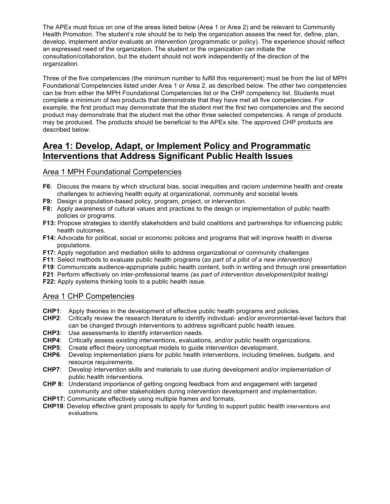The APEx must focus on one of the areas listed below (Area 1 or Area 2) and be relevant to Community Health Promotion. The student's role should be to help the organization assess the need for, define, plan, develop, implement and/or evaluate an intervention (programmatic or policy). The experience should reflect an expressed need of the organization. The student or the organization can initiate the consultation/collaboration, but the student should not work independently of the direction of the organization.

Three of the five competencies (the minimum number to fulfill this requirement) must be from the list of MPH Foundational Competencies listed under Area 1 or Area 2, as described below. The other two competencies can be from either the MPH Foundational Competencies list or the CHP competency list. Students must complete a minimum of two products that demonstrate that they have met all five competencies. For example, the first product may demonstrate that the student met the first two competencies and the second product may demonstrate that the student met the other three selected competencies. A range of products may be produced. The products should be beneficial to the APEx site. The approved CHP products are described below.

# **Area 1: Develop, Adapt, or Implement Policy and Programmatic Interventions that Address Significant Public Health Issues**

### Area 1 MPH Foundational Competencies

- **F6**: Discuss the means by which structural bias, social inequities and racism undermine health and create challenges to achieving health equity at organizational, community and societal levels
- **F9:** Design a population-based policy, program, project, or intervention.
- **F8:** Apply awareness of cultural values and practices to the design or implementation of public health policies or programs.
- **F13:** Propose strategies to identify stakeholders and build coalitions and partnerships for influencing public health outcomes.
- **F14:** Advocate for political, social or economic policies and programs that will improve health in diverse populations.
- **F17:** Apply negotiation and mediation skills to address organizational or community challenges
- **F11**: Select methods to evaluate public health programs (*as part of a pilot of a new intervention)*
- **F19**: Communicate audience-appropriate public health content, both in writing and through oral presentation
- **F21**: Perform effectively on inter-professional teams *(as part of intervention development/pilot testing)*

**F22:** Apply systems thinking tools to a public health issue.

# Area 1 CHP Competencies

- **CHP1**: Apply theories in the development of effective public health programs and policies.
- **CHP2**: Critically review the research literature to identify individual- and/or environmental-level factors that can be changed through interventions to address significant public health issues.
- **CHP3**: Use assessments to identify intervention needs.
- **CHP4**: Critically assess existing interventions, evaluations, and/or public health organizations.
- **CHP5**: Create effect theory conceptual models to guide intervention development.
- **CHP6**: Develop implementation plans for public health interventions, including timelines, budgets, and resource requirements.
- **CHP7**: Develop intervention skills and materials to use during development and/or implementation of public health interventions.
- **CHP 8:** Understand importance of getting ongoing feedback from and engagement with targeted community and other stakeholders during intervention development and implementation.
- **CHP17:** Communicate effectively using multiple frames and formats.
- **CHP19**: Develop effective grant proposals to apply for funding to support public health interventions and evaluations.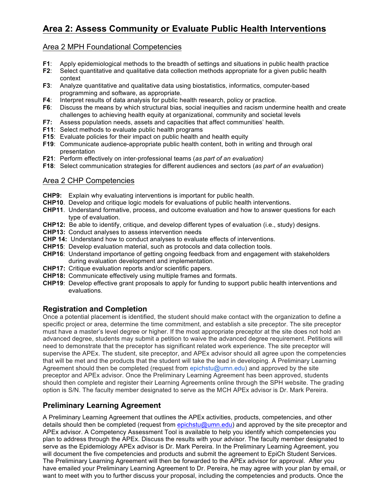# **Area 2: Assess Community or Evaluate Public Health Interventions**

# Area 2 MPH Foundational Competencies

- **F1**: Apply epidemiological methods to the breadth of settings and situations in public health practice
- **F2**: Select quantitative and qualitative data collection methods appropriate for a given public health context
- **F3**: Analyze quantitative and qualitative data using biostatistics, informatics, computer-based programming and software, as appropriate.
- **F4**: Interpret results of data analysis for public health research, policy or practice.
- **F6**: Discuss the means by which structural bias, social inequities and racism undermine health and create challenges to achieving health equity at organizational, community and societal levels
- **F7:** Assess population needs, assets and capacities that affect communities' health.
- **F11**: Select methods to evaluate public health programs
- **F15**: Evaluate policies for their impact on public health and health equity
- **F19**: Communicate audience-appropriate public health content, both in writing and through oral presentation
- **F21**: Perform effectively on inter-professional teams (*as part of an evaluation)*
- **F18**: Select communication strategies for different audiences and sectors (*as part of an evaluation*)

# Area 2 CHP Competencies

- **CHP9:** Explain why evaluating interventions is important for public health.
- **CHP10**. Develop and critique logic models for evaluations of public health interventions.
- **CHP11**. Understand formative, process, and outcome evaluation and how to answer questions for each type of evaluation.
- **CHP12:** Be able to identify, critique, and develop different types of evaluation (i.e., study) designs.
- **CHP13:** Conduct analyses to assess intervention needs
- **CHP 14:** Understand how to conduct analyses to evaluate effects of interventions.
- **CHP15**: Develop evaluation material, such as protocols and data collection tools*.*
- **CHP16**: Understand importance of getting ongoing feedback from and engagement with stakeholders during evaluation development and implementation.
- **CHP17:** Critique evaluation reports and/or scientific papers.
- **CHP18:** Communicate effectively using multiple frames and formats.
- **CHP19**: Develop effective grant proposals to apply for funding to support public health interventions and evaluations.

# **Registration and Completion**

Once a potential placement is identified, the student should make contact with the organization to define a specific project or area, determine the time commitment, and establish a site preceptor. The site preceptor must have a master's level degree or higher. If the most appropriate preceptor at the site does not hold an advanced degree, students may submit a petition to waive the advanced degree requirement. Petitions will need to demonstrate that the preceptor has significant related work experience. The site preceptor will supervise the APEx. The student, site preceptor, and APEx advisor should all agree upon the competencies that will be met and the products that the student will take the lead in developing. A Preliminary Learning Agreement should then be completed (request from epichstu@umn.edu) and approved by the site preceptor and APEx advisor. Once the Preliminary Learning Agreement has been approved, students should then complete and register their Learning Agreements online through the SPH website. The grading option is S/N. The faculty member designated to serve as the MCH APEx advisor is Dr. Mark Pereira.

# **Preliminary Learning Agreement**

A Preliminary Learning Agreement that outlines the APEx activities, products, competencies, and other details should then be completed (request from epichstu@umn.edu) and approved by the site preceptor and APEx advisor. A Competency Assessment Tool is available to help you identify which competencies you plan to address through the APEx. Discuss the results with your advisor. The faculty member designated to serve as the Epidemiology APEx advisor is Dr. Mark Pereira. In the Preliminary Learning Agreement, you will document the five competencies and products and submit the agreement to EpiCh Student Services. The Preliminary Learning Agreement will then be forwarded to the APEx advisor for approval. After you have emailed your Preliminary Learning Agreement to Dr. Pereira, he may agree with your plan by email, or want to meet with you to further discuss your proposal, including the competencies and products. Once the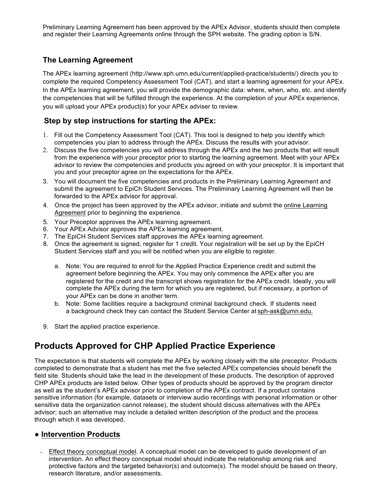Preliminary Learning Agreement has been approved by the APEx Advisor, students should then complete and register their Learning Agreements online through the SPH website. The grading option is S/N.

# **The Learning Agreement**

The APEx learning agreement (http://www.sph.umn.edu/current/applied-practice/students/) directs you to complete the required Competency Assessment Tool (CAT), and start a learning agreement for your APEx. In the APEx learning agreement, you will provide the demographic data: where, when, who, etc. and identify the competencies that will be fulfilled through the experience. At the completion of your APEx experience, you will upload your APEx product(s) for your APEx adviser to review.

# **Step by step instructions for starting the APEx:**

- 1. Fill out the Competency Assessment Tool (CAT). This tool is designed to help you identify which competencies you plan to address through the APEx. Discuss the results with your advisor.
- 2. Discuss the five competencies you will address through the APEx and the two products that will result from the experience with your preceptor prior to starting the learning agreement. Meet with your APEx advisor to review the competencies and products you agreed on with your preceptor. It is important that you and your preceptor agree on the expectations for the APEx.
- 3. You will document the five competencies and products in the Preliminary Learning Agreement and submit the agreement to EpiCh Student Services. The Preliminary Learning Agreement will then be forwarded to the APEx advisor for approval.
- 4. Once the project has been approved by the APEx advisor, initiate and submit the online Learning Agreement prior to beginning the experience.
- 5. Your Preceptor approves the APEx learning agreement.
- 6. Your APEx Advisor approves the APEx learning agreement.
- 7. The EpiCH Student Services staff approves the APEx learning agreement.
- 8. Once the agreement is signed, register for 1 credit. Your registration will be set up by the EpiCH Student Services staff and you will be notified when you are eligible to register.
	- a. Note: You are required to enroll for the Applied Practice Experience credit and submit the agreement before beginning the APEx. You may only commence the APEx after you are registered for the credit and the transcript shows registration for the APEx credit. Ideally, you will complete the APEx during the term for which you are registered, but if necessary, a portion of your APEx can be done in another term.
	- b. Note: Some facilities require a background criminal background check. If students need a background check they can contact the Student Service Center at sph-ask@umn.edu.
- 9. Start the applied practice experience.

# **Products Approved for CHP Applied Practice Experience**

The expectation is that students will complete the APEx by working closely with the site preceptor. Products completed to demonstrate that a student has met the five selected APEx competencies should benefit the field site. Students should take the lead in the development of these products. The description of approved CHP APEx products are listed below. Other types of products should be approved by the program director as well as the student's APEx advisor prior to completion of the APEx contract. If a product contains sensitive information (for example, datasets or interview audio recordings with personal information or other sensitive data the organization cannot release), the student should discuss alternatives with the APEx advisor; such an alternative may include a detailed written description of the product and the process through which it was developed.

# ● **Intervention Products**

Effect theory conceptual model. A conceptual model can be developed to guide development of an intervention. An effect theory conceptual model should indicate the relationship among risk and protective factors and the targeted behavior(s) and outcome(s). The model should be based on theory, research literature, and/or assessments.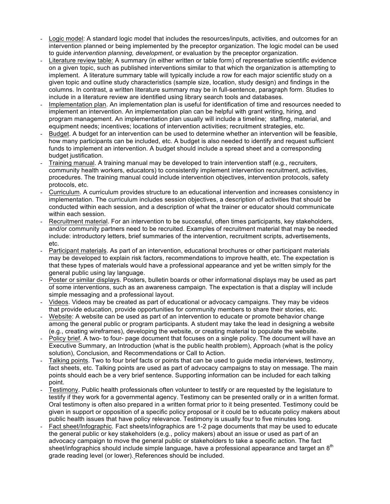- Logic model: A standard logic model that includes the resources/inputs, activities, and outcomes for an intervention planned or being implemented by the preceptor organization. The logic model can be used to guide *intervention planning, development*, or evaluation by the preceptor organization.
- Literature review table: A summary (in either written or table form) of representative scientific evidence on a given topic, such as published interventions similar to that which the organization is attempting to implement. A literature summary table will typically include a row for each major scientific study on a given topic and outline study characteristics (sample size, location, study design) and findings in the columns. In contrast, a written literature summary may be in full-sentence, paragraph form. Studies to include in a literature review are identified using library search tools and databases.
- Implementation plan. An implementation plan is useful for identification of time and resources needed to implement an intervention. An implementation plan can be helpful with grant writing, hiring, and program management. An implementation plan usually will include a timeline; staffing, material, and equipment needs; incentives; locations of intervention activities; recruitment strategies, etc.
- Budget. A budget for an intervention can be used to determine whether an intervention will be feasible, how many participants can be included, etc. A budget is also needed to identify and request sufficient funds to implement an intervention. A budget should include a spread sheet and a corresponding budget justification.
- Training manual. A training manual may be developed to train intervention staff (e.g., recruiters, community health workers, educators) to consistently implement intervention recruitment, activities, procedures. The training manual could include intervention objectives, intervention protocols, safety protocols, etc.
- Curriculum. A curriculum provides structure to an educational intervention and increases consistency in implementation. The curriculum includes session objectives, a description of activities that should be conducted within each session, and a description of what the trainer or educator should communicate within each session.
- Recruitment material. For an intervention to be successful, often times participants, key stakeholders, and/or community partners need to be recruited. Examples of recruitment material that may be needed include: introductory letters, brief summaries of the intervention, recruitment scripts, advertisements, etc.
- Participant materials. As part of an intervention, educational brochures or other participant materials may be developed to explain risk factors, recommendations to improve health, etc. The expectation is that these types of materials would have a professional appearance and yet be written simply for the general public using lay language.
- Poster or similar displays. Posters, bulletin boards or other informational displays may be used as part of some interventions, such as an awareness campaign. The expectation is that a display will include simple messaging and a professional layout.
- Videos. Videos may be created as part of educational or advocacy campaigns. They may be videos that provide education, provide opportunities for community members to share their stories, etc.
- Website: A website can be used as part of an intervention to educate or promote behavior change among the general public or program participants. A student may take the lead in designing a website (e.g., creating wireframes), developing the website, or creating material to populate the website.
- Policy brief. A two- to four- page document that focuses on a single policy. The document will have an Executive Summary, an Introduction (what is the public health problem), Approach (what is the policy solution), Conclusion, and Recommendations or Call to Action.
- Talking points. Two to four brief facts or points that can be used to quide media interviews, testimony, fact sheets, etc. Talking points are used as part of advocacy campaigns to stay on message. The main points should each be a very brief sentence. Supporting information can be included for each talking point.
- Testimony. Public health professionals often volunteer to testify or are requested by the legislature to testify if they work for a governmental agency. Testimony can be presented orally or in a written format. Oral testimony is often also prepared in a written format prior to it being presented. Testimony could be given in support or opposition of a specific policy proposal or it could be to educate policy makers about public health issues that have policy relevance. Testimony is usually four to five minutes long.
- Fact sheet/Infographic. Fact sheets/infographics are 1-2 page documents that may be used to educate the general public or key stakeholders (e.g., policy makers) about an issue or used as part of an advocacy campaign to move the general public or stakeholders to take a specific action. The fact sheet/infographics should include simple language, have a professional appearance and target an 8<sup>th</sup> grade reading level (or lower). References should be included.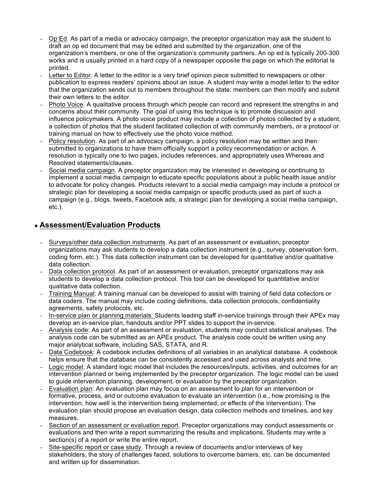- Op Ed. As part of a media or advocacy campaign, the preceptor organization may ask the student to draft an op ed document that may be edited and submitted by the organization, one of the organization's members, or one of the organization's community partners. An op ed is typically 200-300 works and is usually printed in a hard copy of a newspaper opposite the page on which the editorial is printed.
- Letter to Editor. A letter to the editor is a very brief opinion piece submitted to newspapers or other publication to express readers' opinions about an issue. A student may write a model letter to the editor that the organization sends out to members throughout the state; members can then modify and submit their own letters to the editor.
- Photo Voice. A qualitative process through which people can record and represent the strengths in and concerns about their community. The goal of using this technique is to promote discussion and influence policymakers. A photo voice product may include a collection of photos collected by a student, a collection of photos that the student facilitated collection of with community members, or a protocol or training manual on how to effectively use the photo voice method.
- Policy resolution. As part of an advocacy campaign, a policy resolution may be written and then submitted to organizations to have them officially support a policy recommendation or action. A resolution is typically one to two pages, includes references, and appropriately uses Whereas and Resolved statements/clauses.
- Social media campaign. A preceptor organization may be interested in developing or continuing to implement a social media campaign to educate specific populations about a public health issue and/or to advocate for policy changes. Products relevant to a social media campaign may include a protocol or strategic plan for developing a social media campaign or specific products used as part of such a campaign (e.g., blogs, tweets, Facebook ads, a strategic plan for developing a social media campaign, etc.).

# ● **Assessment/Evaluation Products**

- Surveys/other data collection instruments. As part of an assessment or evaluation, preceptor organizations may ask students to develop a data collection instrument (e.g., survey, observation form, coding form, etc.). This data collection instrument can be developed for quantitative and/or qualitative data collection.
- Data collection protocol. As part of an assessment or evaluation, preceptor organizations may ask students to develop a data collection protocol. This tool can be developed for quantitative and/or qualitative data collection.
- Training Manual: A training manual can be developed to assist with training of field data collectors or data coders. The manual may include coding definitions, data collection protocols, confidentiality agreements, safety protocols, etc.
- In-service plan or planning materials. Students leading staff in-service trainings through their APEx may develop an in-service plan, handouts and/or PPT slides to support the in-service.
- Analysis code: As part of an assessment or evaluation, students may conduct statistical analyses. The analysis code can be submitted as an APEx product. The analysis code could be written using any major analytical software, including SAS, STATA, and R.
- Data Codebook: A codebook includes definitions of all variables in an analytical database. A codebook helps ensure that the database can be consistently accessed and used across analysts and time.
- Logic model: A standard logic model that includes the resources/inputs, activities, and outcomes for an intervention planned or being implemented by the preceptor organization. The logic model can be used to guide intervention planning, development, or *evaluation* by the preceptor organization.
- Evaluation plan: An evaluation plan may focus on an assessment to plan for an intervention or formative, process, and or outcome evaluation to evaluate an intervention (i.e., how promising is the intervention, how well is the intervention being implemented, or effects of the intervention). The evaluation plan should propose an evaluation design, data collection methods and timelines, and key measures.
- Section of an assessment or evaluation report. Preceptor organizations may conduct assessments or evaluations and then write a report summarizing the results and implications. Students may write a section(s) of a report or write the entire report.
- Site-specific report or case study. Through a review of documents and/or interviews of key stakeholders, the story of challenges faced, solutions to overcome barriers, etc. can be documented and written up for dissemination.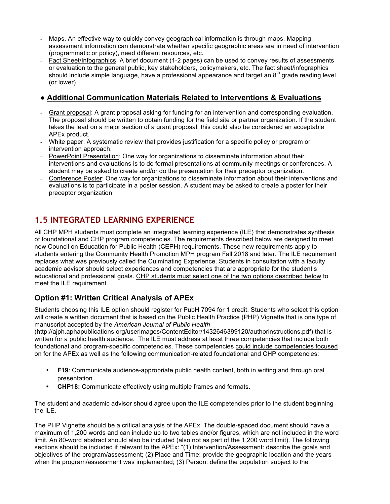- Maps. An effective way to quickly convey geographical information is through maps. Mapping assessment information can demonstrate whether specific geographic areas are in need of intervention (programmatic or policy), need different resources, etc.
- Fact Sheet/Infographics. A brief document (1-2 pages) can be used to convey results of assessments or evaluation to the general public, key stakeholders, policymakers, etc. The fact sheet/infographics should include simple language, have a professional appearance and target an  $8<sup>th</sup>$  grade reading level (or lower).

# ● **Additional Communication Materials Related to Interventions & Evaluations**

- Grant proposal: A grant proposal asking for funding for an intervention and corresponding evaluation. The proposal should be written to obtain funding for the field site or partner organization. If the student takes the lead on a major section of a grant proposal, this could also be considered an acceptable APEx product.
- White paper: A systematic review that provides justification for a specific policy or program or intervention approach.
- PowerPoint Presentation: One way for organizations to disseminate information about their interventions and evaluations is to do formal presentations at community meetings or conferences. A student may be asked to create and/or do the presentation for their preceptor organization.
- Conference Poster: One way for organizations to disseminate information about their interventions and evaluations is to participate in a poster session. A student may be asked to create a poster for their preceptor organization.

# **1.5 INTEGRATED LEARNING EXPERIENCE**

All CHP MPH students must complete an integrated learning experience (ILE) that demonstrates synthesis of foundational and CHP program competencies. The requirements described below are designed to meet new Council on Education for Public Health (CEPH) requirements. These new requirements apply to students entering the Community Health Promotion MPH program Fall 2018 and later. The ILE requirement replaces what was previously called the Culminating Experience. Students in consultation with a faculty academic advisor should select experiences and competencies that are appropriate for the student's educational and professional goals. CHP students must select one of the two options described below to meet the ILE requirement.

# **Option #1: Written Critical Analysis of APEx**

Students choosing this ILE option should register for PubH 7094 for 1 credit. Students who select this option will create a written document that is based on the Public Health Practice (PHP) Vignette that is one type of manuscript accepted by the *American Journal of Public Health*

(http://ajph.aphapublications.org/userimages/ContentEditor/1432646399120/authorinstructions.pdf) that is written for a public health audience. The ILE must address at least three competencies that include both foundational and program-specific competencies. These competencies could include competencies focused on for the APEx as well as the following communication-related foundational and CHP competencies:

- **F19**: Communicate audience-appropriate public health content, both in writing and through oral presentation
- **CHP18:** Communicate effectively using multiple frames and formats.

The student and academic advisor should agree upon the ILE competencies prior to the student beginning the ILE.

The PHP Vignette should be a critical analysis of the APEx. The double-spaced document should have a maximum of 1,200 words and can include up to two tables and/or figures, which are not included in the word limit. An 80-word abstract should also be included (also not as part of the 1,200 word limit). The following sections should be included if relevant to the APEx: "(1) Intervention/Assessment: describe the goals and objectives of the program/assessment; (2) Place and Time: provide the geographic location and the years when the program/assessment was implemented; (3) Person: define the population subject to the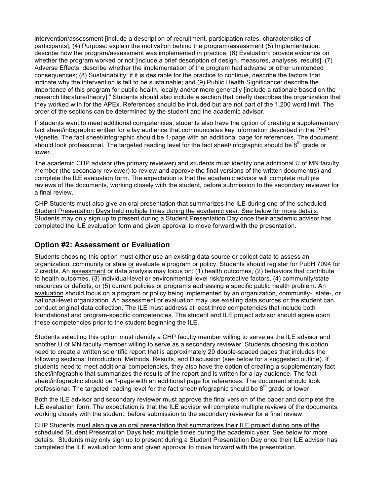intervention/assessment [include a description of recruitment, participation rates, characteristics of participants]; (4) Purpose: explain the motivation behind the program/assessment (5) Implementation: describe how the program/assessment was implemented in practice; (6) Evaluation: provide evidence on whether the program worked or not [include a brief description of design, measures, analyses, results]; (7) Adverse Effects: describe whether the implementation of the program had adverse or other unintended consequences; (8) Sustainability: if it is desirable for the practice to continue, describe the factors that indicate why the intervention is felt to be sustainable; and (9) Public Health Significance: describe the importance of this program for public health, locally and/or more generally [include a rationale based on the research literature/theory]." Students should also include a section that briefly describes the organization that they worked with for the APEx. References should be included but are not part of the 1,200 word limit. The order of the sections can be determined by the student and the academic advisor.

If students want to meet additional competencies, students also have the option of creating a supplementary fact sheet/infographic written for a lay audience that communicates key information described in the PHP Vignette. The fact sheet/infographic should be 1-page with an additional page for references. The document should look professional. The targeted reading level for the fact sheet/infographic should be  $8^{th}$  grade or lower.

The academic CHP advisor (the primary reviewer) and students must identify one additional U of MN faculty member (the secondary reviewer) to review and approve the final versions of the written document(s) and complete the ILE evaluation form. The expectation is that the academic advisor will complete multiple reviews of the documents, working closely with the student, before submission to the secondary reviewer for a final review.

CHP Students must also give an oral presentation that summarizes the ILE during one of the scheduled Student Presentation Days held multiple times during the academic year. See below for more details. Students may only sign up to present during a Student Presentation Day once their academic advisor has completed the ILE evaluation form and given approval to move forward with the presentation.

# **Option #2: Assessment or Evaluation**

Students choosing this option must either use an existing data source or collect data to assess an organization, community or state or evaluate a program or policy. Students should register for PubH 7094 for 2 credits. An assessment or data analysis may focus on: (1) health outcomes, (2) behaviors that contribute to health outcomes, (3) individual-level or environmental-level risk/protective factors, (4) community/state resources or deficits, or (5) current policies or programs addressing a specific public health problem. An evaluation should focus on a program or policy being implemented by an organization, community-, state-, or national-level organization. An assessment or evaluation may use existing data sources or the student can conduct original data collection. The ILE must address at least three competencies that include both foundational and program-specific competencies. The student and ILE project advisor should agree upon these competencies prior to the student beginning the ILE.

Students selecting this option must identify a CHP faculty member willing to serve as the ILE advisor and another U of MN faculty member willing to serve as a secondary reviewer. Students choosing this option need to create a written scientific report that is approximately 20 double-spaced pages that includes the following sections: Introduction, Methods, Results, and Discussion (see below for a suggested outline). If students need to meet additional competencies, they also have the option of creating a supplementary fact sheet/infographic that summarizes the results of the report and is written for a lay audience. The fact sheet/infographic should be 1-page with an additional page for references. The document should look professional. The targeted reading level for the fact sheet/infographic should be  $8<sup>th</sup>$  grade or lower.

Both the ILE advisor and secondary reviewer must approve the final version of the paper and complete the ILE evaluation form. The expectation is that the ILE advisor will complete multiple reviews of the documents, working closely with the student, before submission to the secondary reviewer for a final review.

CHP Students must also give an oral presentation that summarizes their ILE project during one of the scheduled Student Presentation Days held multiple times during the academic year. See below for more details. Students may only sign up to present during a Student Presentation Day once their ILE advisor has completed the ILE evaluation form and given approval to move forward with the presentation.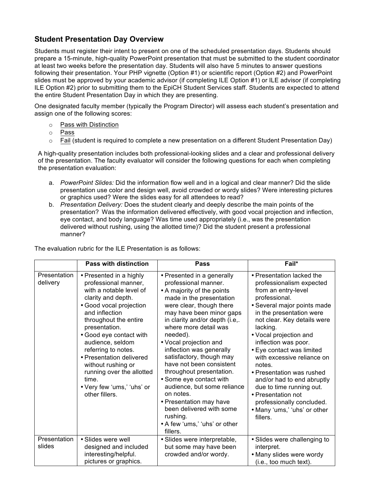# **Student Presentation Day Overview**

Students must register their intent to present on one of the scheduled presentation days. Students should prepare a 15-minute, high-quality PowerPoint presentation that must be submitted to the student coordinator at least two weeks before the presentation day. Students will also have 5 minutes to answer questions following their presentation. Your PHP vignette (Option #1) or scientific report (Option #2) and PowerPoint slides must be approved by your academic advisor (if completing ILE Option #1) or ILE advisor (if completing ILE Option #2) prior to submitting them to the EpiCH Student Services staff. Students are expected to attend the entire Student Presentation Day in which they are presenting.

One designated faculty member (typically the Program Director) will assess each student's presentation and assign one of the following scores:

- o Pass with Distinction
- o Pass
- o Fail (student is required to complete a new presentation on a different Student Presentation Day)

A high-quality presentation includes both professional-looking slides and a clear and professional delivery of the presentation. The faculty evaluator will consider the following questions for each when completing the presentation evaluation:

- a. *PowerPoint Slides:* Did the information flow well and in a logical and clear manner? Did the slide presentation use color and design well, avoid crowded or wordy slides? Were interesting pictures or graphics used? Were the slides easy for all attendees to read?
- b. *Presentation Delivery:* Does the student clearly and deeply describe the main points of the presentation? Was the information delivered effectively, with good vocal projection and inflection, eye contact, and body language? Was time used appropriately (i.e., was the presentation delivered without rushing, using the allotted time)? Did the student present a professional manner?

|                          | <b>Pass with distinction</b>                                                                                                                                                                                                                                                                                                                                                                          | Pass                                                                                                                                                                                                                                                                                                                                                                                                                                                                                                                                                                         | Fail*                                                                                                                                                                                                                                                                                                                                                                                                                                                                                                            |
|--------------------------|-------------------------------------------------------------------------------------------------------------------------------------------------------------------------------------------------------------------------------------------------------------------------------------------------------------------------------------------------------------------------------------------------------|------------------------------------------------------------------------------------------------------------------------------------------------------------------------------------------------------------------------------------------------------------------------------------------------------------------------------------------------------------------------------------------------------------------------------------------------------------------------------------------------------------------------------------------------------------------------------|------------------------------------------------------------------------------------------------------------------------------------------------------------------------------------------------------------------------------------------------------------------------------------------------------------------------------------------------------------------------------------------------------------------------------------------------------------------------------------------------------------------|
| Presentation<br>delivery | • Presented in a highly<br>professional manner,<br>with a notable level of<br>clarity and depth.<br>· Good vocal projection<br>and inflection<br>throughout the entire<br>presentation.<br>• Good eye contact with<br>audience, seldom<br>referring to notes.<br>• Presentation delivered<br>without rushing or<br>running over the allotted<br>time.<br>• Very few 'ums,' 'uhs' or<br>other fillers. | • Presented in a generally<br>professional manner.<br>• A majority of the points<br>made in the presentation<br>were clear, though there<br>may have been minor gaps<br>in clarity and/or depth (i.e,.<br>where more detail was<br>needed).<br>• Vocal projection and<br>inflection was generally<br>satisfactory, though may<br>have not been consistent<br>throughout presentation.<br>• Some eye contact with<br>audience, but some reliance<br>on notes.<br>• Presentation may have<br>been delivered with some<br>rushing.<br>• A few 'ums,' 'uhs' or other<br>fillers. | • Presentation lacked the<br>professionalism expected<br>from an entry-level<br>professional.<br>· Several major points made<br>in the presentation were<br>not clear. Key details were<br>lacking.<br>• Vocal projection and<br>inflection was poor.<br>• Eye contact was limited<br>with excessive reliance on<br>notes.<br>• Presentation was rushed<br>and/or had to end abruptly<br>due to time running out.<br>• Presentation not<br>professionally concluded.<br>• Many 'ums,' 'uhs' or other<br>fillers. |
| Presentation<br>slides   | • Slides were well<br>designed and included<br>interesting/helpful.                                                                                                                                                                                                                                                                                                                                   | • Slides were interpretable,<br>but some may have been<br>crowded and/or wordy.                                                                                                                                                                                                                                                                                                                                                                                                                                                                                              | • Slides were challenging to<br>interpret.<br>• Many slides were wordy                                                                                                                                                                                                                                                                                                                                                                                                                                           |
|                          | pictures or graphics.                                                                                                                                                                                                                                                                                                                                                                                 |                                                                                                                                                                                                                                                                                                                                                                                                                                                                                                                                                                              | (i.e., too much text).                                                                                                                                                                                                                                                                                                                                                                                                                                                                                           |

The evaluation rubric for the ILE Presentation is as follows: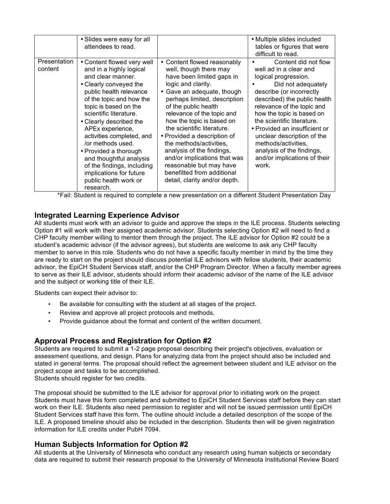|                         | • Slides were easy for all<br>attendees to read.                                                                                                                                                                                                                                                                                                                                                                                                                   |                                                                                                                                                                                                                                                                                                                                                                                                                                                                                                        | • Multiple slides included<br>tables or figures that were<br>difficult to read.                                                                                                                                                                                                                                                                                                                               |
|-------------------------|--------------------------------------------------------------------------------------------------------------------------------------------------------------------------------------------------------------------------------------------------------------------------------------------------------------------------------------------------------------------------------------------------------------------------------------------------------------------|--------------------------------------------------------------------------------------------------------------------------------------------------------------------------------------------------------------------------------------------------------------------------------------------------------------------------------------------------------------------------------------------------------------------------------------------------------------------------------------------------------|---------------------------------------------------------------------------------------------------------------------------------------------------------------------------------------------------------------------------------------------------------------------------------------------------------------------------------------------------------------------------------------------------------------|
| Presentation<br>content | • Content flowed very well<br>and in a highly logical<br>and clear manner.<br>• Clearly conveyed the<br>public health relevance<br>of the topic and how the<br>topic is based on the<br>scientific literature.<br>• Clearly described the<br>APEx experience,<br>activities completed, and<br>/or methods used.<br>• Provided a thorough<br>and thoughtful analysis<br>of the findings, including<br>implications for future<br>public health work or<br>research. | • Content flowed reasonably<br>well, though there may<br>have been limited gaps in<br>logic and clarity.<br>Gave an adequate, though<br>perhaps limited, description<br>of the public health<br>relevance of the topic and<br>how the topic is based on<br>the scientific literature.<br>• Provided a description of<br>the methods/activities,<br>analysis of the findings,<br>and/or implications that was<br>reasonable but may have<br>benefitted from additional<br>detail, clarity and/or depth. | Content did not flow<br>well ad in a clear and<br>logical progression.<br>Did not adequately<br>describe (or incorrectly<br>described) the public health<br>relevance of the topic and<br>how the topic is based on<br>the scientific literature.<br>• Provided an insufficient or<br>unclear description of the<br>methods/activities,<br>analysis of the findings,<br>and/or implications of their<br>work. |

\*Fail: Student is required to complete a new presentation on a different Student Presentation Day

# **Integrated Learning Experience Advisor**

All students must work with an advisor to guide and approve the steps in the ILE process. Students selecting Option #1 will work with their assigned academic advisor. Students selecting Option #2 will need to find a CHP faculty member willing to mentor them through the project. The ILE advisor for Option #2 could be a student's academic advisor (if the advisor agrees), but students are welcome to ask any CHP faculty member to serve in this role. Students who do not have a specific faculty member in mind by the time they are ready to start on the project should discuss potential ILE advisors with fellow students, their academic advisor, the EpiCH Student Services staff, and/or the CHP Program Director. When a faculty member agrees to serve as their ILE advisor, students should inform their academic advisor of the name of the ILE advisor and the subject or working title of their ILE.

Students can expect their advisor to:

- Be available for consulting with the student at all stages of the project.
- Review and approve all project protocols and methods.
- Provide guidance about the format and content of the written document.

# **Approval Process and Registration for Option #2**

Students are required to submit a 1-2 page proposal describing their project's objectives, evaluation or assessment questions, and design. Plans for analyzing data from the project should also be included and stated in general terms. The proposal should reflect the agreement between student and ILE advisor on the project scope and tasks to be accomplished.

Students should register for two credits.

The proposal should be submitted to the ILE advisor for approval prior to initiating work on the project. Students must have this form completed and submitted to EpiCH Student Services staff before they can start work on their ILE. Students also need permission to register and will not be issued permission until EpiCH Student Services staff have this form. The outline should include a detailed description of the scope of the ILE. A proposed timeline should also be included in the description. Students then will be given registration information for ILE credits under PubH 7094.

# **Human Subjects Information for Option #2**

All students at the University of Minnesota who conduct any research using human subjects or secondary data are required to submit their research proposal to the University of Minnesota Institutional Review Board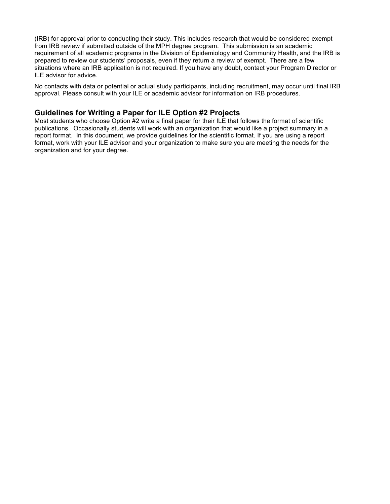(IRB) for approval prior to conducting their study. This includes research that would be considered exempt from IRB review if submitted outside of the MPH degree program. This submission is an academic requirement of all academic programs in the Division of Epidemiology and Community Health, and the IRB is prepared to review our students' proposals, even if they return a review of exempt. There are a few situations where an IRB application is not required. If you have any doubt, contact your Program Director or ILE advisor for advice.

No contacts with data or potential or actual study participants, including recruitment, may occur until final IRB approval. Please consult with your ILE or academic advisor for information on IRB procedures.

### **Guidelines for Writing a Paper for ILE Option #2 Projects**

Most students who choose Option #2 write a final paper for their ILE that follows the format of scientific publications. Occasionally students will work with an organization that would like a project summary in a report format. In this document, we provide guidelines for the scientific format. If you are using a report format, work with your ILE advisor and your organization to make sure you are meeting the needs for the organization and for your degree.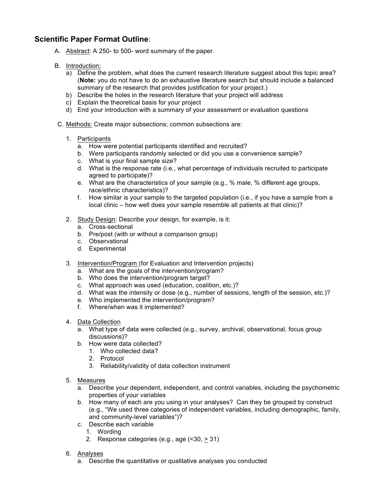# **Scientific Paper Format Outline**:

- A. Abstract: A 250- to 500- word summary of the paper.
- B. Introduction:
	- a) Define the problem, what does the current research literature suggest about this topic area? (**Note:** you do not have to do an exhaustive literature search but should include a balanced summary of the research that provides justification for your project.)
	- b) Describe the holes in the research literature that your project will address
	- c) Explain the theoretical basis for your project
	- d) End your introduction with a summary of your assessment or evaluation questions
- C. Methods: Create major subsections; common subsections are:
	- 1. Participants
		- a. How were potential participants identified and recruited?
		- b. Were participants randomly selected or did you use a convenience sample?
		- c. What is your final sample size?
		- d. What is the response rate (i.e., what percentage of individuals recruited to participate agreed to participate)?
		- e. What are the characteristics of your sample (e.g., % male, % different age groups, race/ethnic characteristics)?
		- f. How similar is your sample to the targeted population (i.e., if you have a sample from a local clinic – how well does your sample resemble all patients at that clinic)?
	- 2. Study Design: Describe your design, for example, is it:
		- a. Cross-sectional
		- b. Pre/post (with or without a comparison group)
		- c. Observational
		- d. Experimental
	- 3. Intervention/Program (for Evaluation and Intervention projects)
		- a. What are the goals of the intervention/program?
		- b. Who does the intervention/program target?
		- c. What approach was used (education, coalition, etc.)?
		- d. What was the intensity or dose (e.g., number of sessions, length of the session, etc.)?
		- e. Who implemented the intervention/program?
		- f. Where/when was it implemented?
	- 4. Data Collection
		- a. What type of data were collected (e.g., survey, archival, observational, focus group discussions)?
		- b. How were data collected?
			- 1. Who collected data?
			- 2. Protocol
			- 3. Reliability/validity of data collection instrument
	- 5. Measures
		- a. Describe your dependent, independent, and control variables, including the psychometric properties of your variables
		- b. How many of each are you using in your analyses? Can they be grouped by construct (e.g., "We used three categories of independent variables, including demographic, family, and community-level variables")?
		- c. Describe each variable
			- 1. Wording
			- 2. Response categories (e.g., age (<30, > 31)
	- 6. Analyses
		- a. Describe the quantitative or qualitative analyses you conducted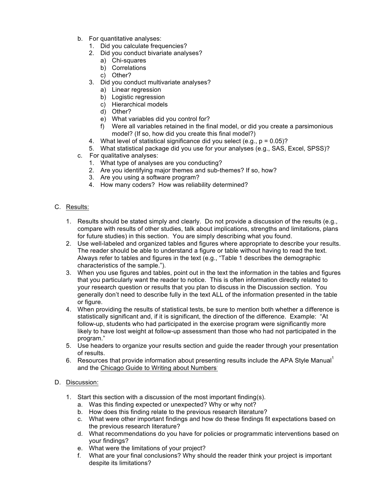- b. For quantitative analyses:
	- 1. Did you calculate frequencies?
	- 2. Did you conduct bivariate analyses?
		- a) Chi-squares
		- b) Correlations
		- c) Other?
	- 3. Did you conduct multivariate analyses?
		- a) Linear regression
		- b) Logistic regression
		- c) Hierarchical models
		- d) Other?
		- e) What variables did you control for?
		- f) Were all variables retained in the final model, or did you create a parsimonious model? (If so, how did you create this final model?)
	- 4. What level of statistical significance did you select (e.g., p = 0.05)?
	- 5. What statistical package did you use for your analyses (e.g., SAS, Excel, SPSS)?
- c. For qualitative analyses:
	- 1. What type of analyses are you conducting?
	- 2. Are you identifying major themes and sub-themes? If so, how?
	- 3. Are you using a software program?
	- 4. How many coders? How was reliability determined?

#### C. Results:

- 1. Results should be stated simply and clearly. Do not provide a discussion of the results (e.g., compare with results of other studies, talk about implications, strengths and limitations, plans for future studies) in this section. You are simply describing what you found.
- 2. Use well-labeled and organized tables and figures where appropriate to describe your results. The reader should be able to understand a figure or table without having to read the text. Always refer to tables and figures in the text (e.g., "Table 1 describes the demographic characteristics of the sample.").
- 3. When you use figures and tables, point out in the text the information in the tables and figures that you particularly want the reader to notice. This is often information directly related to your research question or results that you plan to discuss in the Discussion section. You generally don't need to describe fully in the text ALL of the information presented in the table or figure.
- 4. When providing the results of statistical tests, be sure to mention both whether a difference is statistically significant and, if it is significant, the direction of the difference. Example: "At follow-up, students who had participated in the exercise program were significantly more likely to have lost weight at follow-up assessment than those who had not participated in the program."
- 5. Use headers to organize your results section and guide the reader through your presentation of results.
- 6. Resources that provide information about presenting results include the APA Style Manual<sup>1</sup> and the Chicago Guide to Writing about Numbers.

#### D. Discussion:

- 1. Start this section with a discussion of the most important finding(s).
	- a. Was this finding expected or unexpected? Why or why not?
	- b. How does this finding relate to the previous research literature?
	- c. What were other important findings and how do these findings fit expectations based on the previous research literature?
	- d. What recommendations do you have for policies or programmatic interventions based on your findings?
	- e. What were the limitations of your project?
	- f. What are your final conclusions? Why should the reader think your project is important despite its limitations?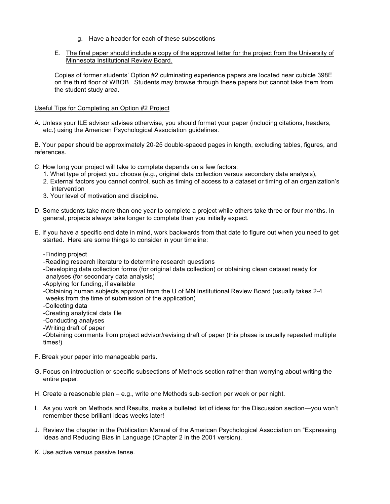- g. Have a header for each of these subsections
- E. The final paper should include a copy of the approval letter for the project from the University of Minnesota Institutional Review Board.

Copies of former students' Option #2 culminating experience papers are located near cubicle 398E on the third floor of WBOB. Students may browse through these papers but cannot take them from the student study area.

#### Useful Tips for Completing an Option #2 Project

A. Unless your ILE advisor advises otherwise, you should format your paper (including citations, headers, etc.) using the American Psychological Association guidelines.

B. Your paper should be approximately 20-25 double-spaced pages in length, excluding tables, figures, and references.

C. How long your project will take to complete depends on a few factors:

- 1. What type of project you choose (e.g., original data collection versus secondary data analysis),
- 2. External factors you cannot control, such as timing of access to a dataset or timing of an organization's intervention
- 3. Your level of motivation and discipline.
- D. Some students take more than one year to complete a project while others take three or four months. In general, projects always take longer to complete than you initially expect.
- E. If you have a specific end date in mind, work backwards from that date to figure out when you need to get started. Here are some things to consider in your timeline:
	- -Finding project
	- -Reading research literature to determine research questions
	- -Developing data collection forms (for original data collection) or obtaining clean dataset ready for analyses (for secondary data analysis)
	- -Applying for funding, if available
	- -Obtaining human subjects approval from the U of MN Institutional Review Board (usually takes 2-4 weeks from the time of submission of the application)
	- -Collecting data
	- -Creating analytical data file
	- -Conducting analyses
	- -Writing draft of paper

-Obtaining comments from project advisor/revising draft of paper (this phase is usually repeated multiple times!)

- F. Break your paper into manageable parts.
- G. Focus on introduction or specific subsections of Methods section rather than worrying about writing the entire paper.
- H. Create a reasonable plan e.g., write one Methods sub-section per week or per night.
- I. As you work on Methods and Results, make a bulleted list of ideas for the Discussion section—you won't remember these brilliant ideas weeks later!
- J. Review the chapter in the Publication Manual of the American Psychological Association on "Expressing Ideas and Reducing Bias in Language (Chapter 2 in the 2001 version).
- K. Use active versus passive tense.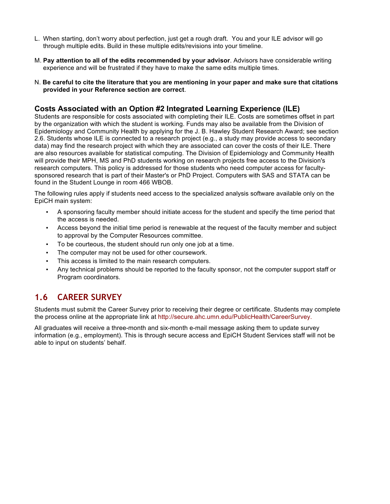- L. When starting, don't worry about perfection, just get a rough draft. You and your ILE advisor will go through multiple edits. Build in these multiple edits/revisions into your timeline.
- M. **Pay attention to all of the edits recommended by your advisor**. Advisors have considerable writing experience and will be frustrated if they have to make the same edits multiple times.
- N. **Be careful to cite the literature that you are mentioning in your paper and make sure that citations provided in your Reference section are correct**.

# **Costs Associated with an Option #2 Integrated Learning Experience (ILE)**

Students are responsible for costs associated with completing their ILE. Costs are sometimes offset in part by the organization with which the student is working. Funds may also be available from the Division of Epidemiology and Community Health by applying for the J. B. Hawley Student Research Award; see section 2.6. Students whose ILE is connected to a research project (e.g., a study may provide access to secondary data) may find the research project with which they are associated can cover the costs of their ILE. There are also resources available for statistical computing. The Division of Epidemiology and Community Health will provide their MPH, MS and PhD students working on research projects free access to the Division's research computers. This policy is addressed for those students who need computer access for facultysponsored research that is part of their Master's or PhD Project. Computers with SAS and STATA can be found in the Student Lounge in room 466 WBOB.

The following rules apply if students need access to the specialized analysis software available only on the EpiCH main system:

- A sponsoring faculty member should initiate access for the student and specify the time period that the access is needed.
- Access beyond the initial time period is renewable at the request of the faculty member and subject to approval by the Computer Resources committee.
- To be courteous, the student should run only one job at a time.
- The computer may not be used for other coursework.
- This access is limited to the main research computers.
- Any technical problems should be reported to the faculty sponsor, not the computer support staff or Program coordinators.

# **1.6 CAREER SURVEY**

Students must submit the Career Survey prior to receiving their degree or certificate. Students may complete the process online at the appropriate link at http://secure.ahc.umn.edu/PublicHealth/CareerSurvey.

All graduates will receive a three-month and six-month e-mail message asking them to update survey information (e.g., employment). This is through secure access and EpiCH Student Services staff will not be able to input on students' behalf.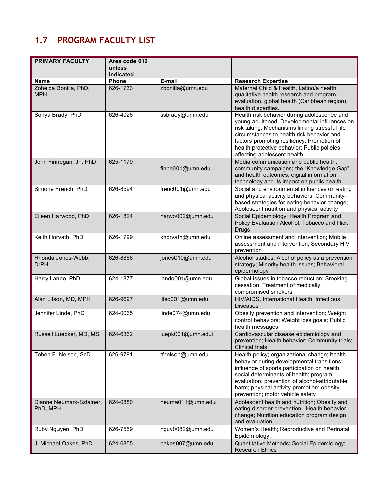# **1.7 PROGRAM FACULTY LIST**

| <b>PRIMARY FACULTY</b>               | Area code 612<br>unless<br>indicated |                   |                                                                                                                                                                                                                                                                                                                          |
|--------------------------------------|--------------------------------------|-------------------|--------------------------------------------------------------------------------------------------------------------------------------------------------------------------------------------------------------------------------------------------------------------------------------------------------------------------|
| <b>Name</b>                          | Phone                                | E-mail            | <b>Research Expertise</b>                                                                                                                                                                                                                                                                                                |
| Zobeida Bonilla, PhD,<br><b>MPH</b>  | 626-1733                             | zbonilla@umn.edu  | Maternal Child & Health, Latino/a health,<br>qualitative health research and program<br>evaluation, global health (Caribbean region),<br>health disparities.                                                                                                                                                             |
| Sonya Brady, PhD                     | 626-4026                             | ssbrady@umn.edu   | Health risk behavior during adolescence and<br>young adulthood; Developmental influences on<br>risk taking; Mechanisms linking stressful life<br>circumstances to health risk behavior and<br>factors promoting resiliency; Promotion of<br>health protective behavior; Public policies<br>affecting adolescent health.  |
| John Finnegan, Jr., PhD              | 625-1179                             | finne001@umn.edu  | Media communication and public health;<br>community campaigns; the "Knowledge Gap"<br>and health outcomes; digital information<br>technology and its impact on public health                                                                                                                                             |
| Simone French, PhD                   | 626-8594                             | frenc001@umn.edu  | Social and environmental influences on eating<br>and physical activity behaviors; Community-<br>based strategies for eating behavior change;<br>Adolescent nutrition and physical activity                                                                                                                               |
| Eileen Harwood, PhD                  | 626-1824                             | harwo002@umn.edu  | Social Epidemiology; Health Program and<br>Policy Evaluation Alcohol; Tobacco and Illicit<br>Drugs                                                                                                                                                                                                                       |
| Keith Horvath, PhD                   | 626-1799                             | khorvath@umn.edu  | Online assessment and intervention; Mobile<br>assessment and intervention; Secondary HIV<br>prevention                                                                                                                                                                                                                   |
| Rhonda Jones-Webb,<br><b>DrPH</b>    | 626-8866                             | jones010@umn.edu  | Alcohol studies; Alcohol policy as a prevention<br>strategy; Minority health issues; Behavioral<br>epidemiology                                                                                                                                                                                                          |
| Harry Lando, PhD                     | 624-1877                             | lando001@umn.edu  | Global issues in tobacco reduction; Smoking<br>cessation; Treatment of medically<br>compromised smokers                                                                                                                                                                                                                  |
| Alan Lifson, MD, MPH                 | 626-9697                             | lifso001@umn.edu  | HIV/AIDS, International Health, Infectious<br><b>Diseases</b>                                                                                                                                                                                                                                                            |
| Jennifer Linde, PhD                  | 624-0065                             | linde074@umn.edu  | Obesity prevention and intervention; Weight<br>control behaviors; Weight loss goals; Public<br>health messages                                                                                                                                                                                                           |
| Russell Luepker, MD, MS              | 624-6362                             | luepk001@umn.edui | Cardiovascular disease epidemiology and<br>prevention; Health behavior; Community trials;<br>Clinical trials                                                                                                                                                                                                             |
| Toben F. Nelson, ScD                 | 626-9791                             | tfnelson@umn.edu  | Health policy; organizational change; health<br>behavior during developmental transitions;<br>influence of sports participation on health;<br>social determinants of health; program<br>evaluation; prevention of alcohol-attributable<br>harm; physical activity promotion; obesity<br>prevention; motor vehicle safety |
| Dianne Neumark-Sztainer,<br>PhD, MPH | 624-0880                             | neuma011@umn.edu  | Adolescent health and nutrition; Obesity and<br>eating disorder prevention; Health behavior<br>change; Nutrition education program design<br>and evaluation                                                                                                                                                              |
| Ruby Nguyen, PhD                     | 626-7559                             | nguy0082@umn.edu  | Women's Health; Reproductive and Perinatal<br>Epidemiology.                                                                                                                                                                                                                                                              |
| J. Michael Oakes, PhD                | 624-6855                             | oakes007@umn.edu  | Quantitative Methods; Social Epidemiology;<br><b>Research Ethics</b>                                                                                                                                                                                                                                                     |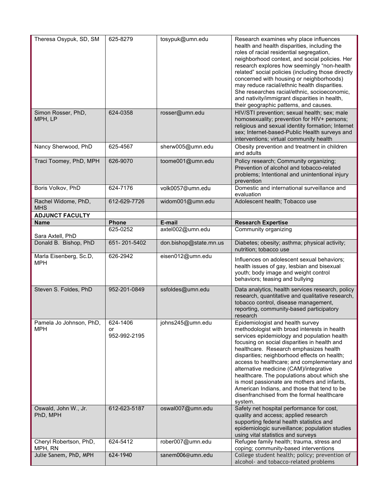| Theresa Osypuk, SD, SM                | 625-8279                       | tosypuk@umn.edu        | Research examines why place influences<br>health and health disparities, including the<br>roles of racial residential segregation,<br>neighborhood context, and social policies. Her<br>research explores how seemingly "non-health<br>related" social policies (including those directly<br>concerned with housing or neighborhoods)<br>may reduce racial/ethnic health disparities.<br>She researches racial/ethnic, socioeconomic,<br>and nativity/immigrant disparities in health,<br>their geographic patterns, and causes.                                         |
|---------------------------------------|--------------------------------|------------------------|--------------------------------------------------------------------------------------------------------------------------------------------------------------------------------------------------------------------------------------------------------------------------------------------------------------------------------------------------------------------------------------------------------------------------------------------------------------------------------------------------------------------------------------------------------------------------|
| Simon Rosser, PhD,<br>MPH, LP         | 624-0358                       | rosser@umn.edu         | HIV/STI prevention; sexual health; sex; male<br>homosexuality; prevention for HIV+ persons;<br>religious and sexual identity formation; Internet<br>sex; Internet-based-Public Health surveys and<br>interventions; virtual community health                                                                                                                                                                                                                                                                                                                             |
| Nancy Sherwood, PhD                   | 625-4567                       | sherw005@umn.edu       | Obesity prevention and treatment in children<br>and adults                                                                                                                                                                                                                                                                                                                                                                                                                                                                                                               |
| Traci Toomey, PhD, MPH                | 626-9070                       | toome001@umn.edu       | Policy research; Community organizing;<br>Prevention of alcohol and tobacco-related<br>problems; Intentional and unintentional injury<br>prevention                                                                                                                                                                                                                                                                                                                                                                                                                      |
| Boris Volkov, PhD                     | 624-7176                       | volk0057@umn.edu       | Domestic and international surveillance and<br>evaluation                                                                                                                                                                                                                                                                                                                                                                                                                                                                                                                |
| Rachel Widome, PhD,<br><b>MHS</b>     | 612-629-7726                   | widom001@umn.edu       | Adolescent health; Tobacco use                                                                                                                                                                                                                                                                                                                                                                                                                                                                                                                                           |
| <b>ADJUNCT FACULTY</b>                |                                |                        |                                                                                                                                                                                                                                                                                                                                                                                                                                                                                                                                                                          |
| <b>Name</b>                           | Phone                          | E-mail                 | <b>Research Expertise</b>                                                                                                                                                                                                                                                                                                                                                                                                                                                                                                                                                |
| Sara Axtell, PhD                      | 625-0252                       | axtel002@umn.edu       | Community organizing                                                                                                                                                                                                                                                                                                                                                                                                                                                                                                                                                     |
| Donald B. Bishop, PhD                 | 651-201-5402                   | don.bishop@state.mn.us | Diabetes; obesity; asthma; physical activity;<br>nutrition; tobacco use                                                                                                                                                                                                                                                                                                                                                                                                                                                                                                  |
| Marla Eisenberg, Sc.D,<br><b>MPH</b>  | 626-2942                       | eisen012@umn.edu       | Influences on adolescent sexual behaviors;<br>health issues of gay, lesbian and bisexual<br>youth; body image and weight control<br>behaviors; teasing and bullying                                                                                                                                                                                                                                                                                                                                                                                                      |
| Steven S. Foldes, PhD                 | 952-201-0849                   | ssfoldes@umn.edu       | Data analytics, health services research, policy<br>research, quantitative and qualitative research,<br>tobacco control, disease management,<br>reporting, community-based participatory<br>research                                                                                                                                                                                                                                                                                                                                                                     |
| Pamela Jo Johnson, PhD,<br><b>MPH</b> | 624-1406<br>or<br>952-992-2195 | johns245@umn.edu       | Epidemiologist and health survey<br>methodologist with broad interests in health<br>services epidemiology and population health<br>focusing on social disparities in health and<br>healthcare. Research emphasizes health<br>disparities; neighborhood effects on health;<br>access to healthcare; and complementary and<br>alternative medicine (CAM)/integrative<br>healthcare. The populations about which she<br>is most passionate are mothers and infants,<br>American Indians, and those that tend to be<br>disenfranchised from the formal healthcare<br>system. |
| Oswald, John W., Jr.<br>PhD, MPH      | 612-623-5187                   | oswal007@umn.edu       | Safety net hospital performance for cost,<br>quality and access; applied research<br>supporting federal health statistics and<br>epidemiologic surveillance; population studies                                                                                                                                                                                                                                                                                                                                                                                          |
| Cheryl Robertson, PhD,                | 624-5412                       | rober007@umn.edu       | using vital statistics and surveys<br>Refugee family health; trauma, stress and                                                                                                                                                                                                                                                                                                                                                                                                                                                                                          |
| MPH, RN<br>Julie Sanem, PhD, MPH      | 624-1940                       | sanem006@umn.edu       | coping; community-based interventions<br>College student health; policy; prevention of<br>alcohol- and tobacco-related problems                                                                                                                                                                                                                                                                                                                                                                                                                                          |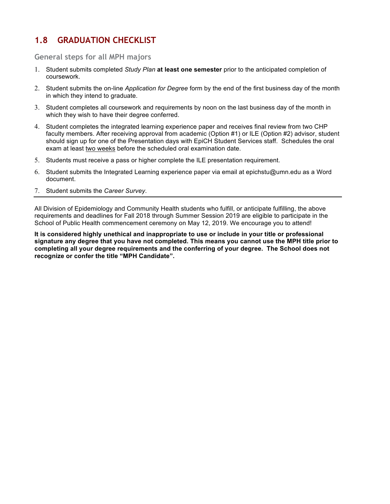# **1.8 GRADUATION CHECKLIST**

#### **General steps for all MPH majors**

- 1. Student submits completed *Study Plan* **at least one semester** prior to the anticipated completion of coursework.
- 2. Student submits the on-line *Application for Degree* form by the end of the first business day of the month in which they intend to graduate.
- 3. Student completes all coursework and requirements by noon on the last business day of the month in which they wish to have their degree conferred.
- 4. Student completes the integrated learning experience paper and receives final review from two CHP faculty members. After receiving approval from academic (Option #1) or ILE (Option #2) advisor, student should sign up for one of the Presentation days with EpiCH Student Services staff. Schedules the oral exam at least two weeks before the scheduled oral examination date.
- 5. Students must receive a pass or higher complete the ILE presentation requirement.
- 6. Student submits the Integrated Learning experience paper via email at epichstu@umn.edu as a Word document.
- 7. Student submits the *Career Survey*.

All Division of Epidemiology and Community Health students who fulfill, or anticipate fulfilling, the above requirements and deadlines for Fall 2018 through Summer Session 2019 are eligible to participate in the School of Public Health commencement ceremony on May 12, 2019. We encourage you to attend!

**It is considered highly unethical and inappropriate to use or include in your title or professional signature any degree that you have not completed. This means you cannot use the MPH title prior to completing all your degree requirements and the conferring of your degree. The School does not recognize or confer the title "MPH Candidate".**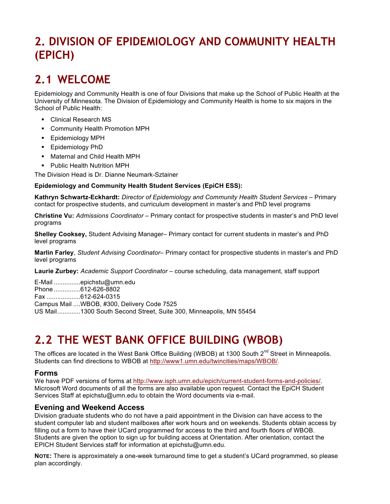# **2. DIVISION OF EPIDEMIOLOGY AND COMMUNITY HEALTH (EPICH)**

# **2.1 WELCOME**

Epidemiology and Community Health is one of four Divisions that make up the School of Public Health at the University of Minnesota. The Division of Epidemiology and Community Health is home to six majors in the School of Public Health:

- § Clinical Research MS
- § Community Health Promotion MPH
- § Epidemiology MPH
- § Epidemiology PhD
- § Maternal and Child Health MPH
- § Public Health Nutrition MPH

The Division Head is Dr. Dianne Neumark-Sztainer

#### **Epidemiology and Community Health Student Services (EpiCH ESS):**

**Kathryn Schwartz-Eckhardt:** *Director of Epidemiology and Community Health Student Services* – Primary contact for prospective students, and curriculum development in master's and PhD level programs

**Christine Vu:** *Admissions Coordinator* – Primary contact for prospective students in master's and PhD level programs

**Shelley Cooksey,** Student Advising Manager– Primary contact for current students in master's and PhD level programs

**Marlin Farley**, *Student Advising Coordinator*– Primary contact for prospective students in master's and PhD level programs

**Laurie Zurbey:** *Academic Support Coordinator* – course scheduling, data management, staff support

E-Mail ...............epichstu@umn.edu Phone ...............612-626-8802 Fax ...................612-624-0315 Campus Mail ....WBOB, #300, Delivery Code 7525 US Mail.............1300 South Second Street, Suite 300, Minneapolis, MN 55454

# **2.2 THE WEST BANK OFFICE BUILDING (WBOB)**

The offices are located in the West Bank Office Building (WBOB) at 1300 South 2<sup>nd</sup> Street in Minneapolis. Students can find directions to WBOB at http://www1.umn.edu/twincities/maps/WBOB/.

### **Forms**

We have PDF versions of forms at http://www.isph.umn.edu/epich/current-student-forms-and-policies/. Microsoft Word documents of all the forms are also available upon request. Contact the EpiCH Student Services Staff at epichstu@umn.edu to obtain the Word documents via e-mail.

### **Evening and Weekend Access**

Division graduate students who do not have a paid appointment in the Division can have access to the student computer lab and student mailboxes after work hours and on weekends. Students obtain access by filling out a form to have their UCard programmed for access to the third and fourth floors of WBOB. Students are given the option to sign up for building access at Orientation. After orientation, contact the EPICH Student Services staff for information at epichstu@umn.edu.

**NOTE:** There is approximately a one-week turnaround time to get a student's UCard programmed, so please plan accordingly.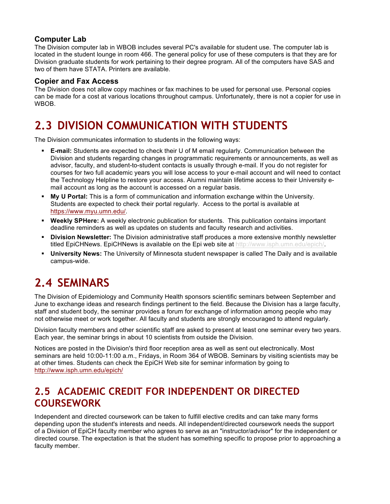# **Computer Lab**

The Division computer lab in WBOB includes several PC's available for student use. The computer lab is located in the student lounge in room 466. The general policy for use of these computers is that they are for Division graduate students for work pertaining to their degree program. All of the computers have SAS and two of them have STATA. Printers are available.

# **Copier and Fax Access**

The Division does not allow copy machines or fax machines to be used for personal use. Personal copies can be made for a cost at various locations throughout campus. Unfortunately, there is not a copier for use in WBOB.

# **2.3 DIVISION COMMUNICATION WITH STUDENTS**

The Division communicates information to students in the following ways:

- **E-mail:** Students are expected to check their U of M email regularly. Communication between the Division and students regarding changes in programmatic requirements or announcements, as well as advisor, faculty, and student-to-student contacts is usually through e-mail. If you do not register for courses for two full academic years you will lose access to your e-mail account and will need to contact the Technology Helpline to restore your access. Alumni maintain lifetime access to their University email account as long as the account is accessed on a regular basis.
- § **My U Portal:** This is a form of communication and information exchange within the University. Students are expected to check their portal regularly. Access to the portal is available at https://www.myu.umn.edu/.
- § **Weekly SPHere:** A weekly electronic publication for students. This publication contains important deadline reminders as well as updates on students and faculty research and activities.
- § **Division Newsletter:** The Division administrative staff produces a more extensive monthly newsletter titled EpiCHNews. EpiCHNews is available on the Epi web site at http://www.isph.umn.edu/epich/.
- § **University News:** The University of Minnesota student newspaper is called The Daily and is available campus-wide.

# **2.4 SEMINARS**

The Division of Epidemiology and Community Health sponsors scientific seminars between September and June to exchange ideas and research findings pertinent to the field. Because the Division has a large faculty, staff and student body, the seminar provides a forum for exchange of information among people who may not otherwise meet or work together. All faculty and students are strongly encouraged to attend regularly.

Division faculty members and other scientific staff are asked to present at least one seminar every two years. Each year, the seminar brings in about 10 scientists from outside the Division.

Notices are posted in the Division's third floor reception area as well as sent out electronically. Most seminars are held 10:00-11:00 a.m., Fridays, in Room 364 of WBOB. Seminars by visiting scientists may be at other times. Students can check the EpiCH Web site for seminar information by going to [http://www.isph.umn.edu/epich/](http://www.isph.umn.edu/epich/seminars-in-services/)

# **2.5 ACADEMIC CREDIT FOR INDEPENDENT OR DIRECTED COURSEWORK**

Independent and directed coursework can be taken to fulfill elective credits and can take many forms depending upon the student's interests and needs. All independent/directed coursework needs the support of a Division of EpiCH faculty member who agrees to serve as an "instructor/advisor" for the independent or directed course. The expectation is that the student has something specific to propose prior to approaching a faculty member.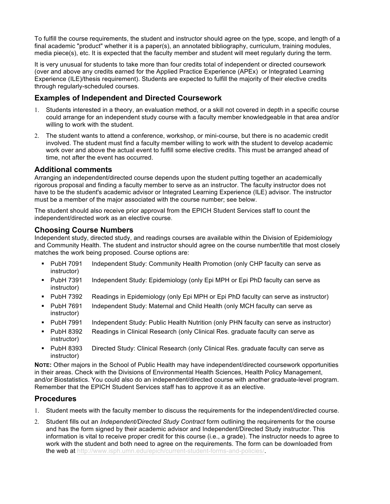To fulfill the course requirements, the student and instructor should agree on the type, scope, and length of a final academic "product" whether it is a paper(s), an annotated bibliography, curriculum, training modules, media piece(s), etc. It is expected that the faculty member and student will meet regularly during the term.

It is very unusual for students to take more than four credits total of independent or directed coursework (over and above any credits earned for the Applied Practice Experience (APEx) or Integrated Learning Experience (ILE)/thesis requirement). Students are expected to fulfill the majority of their elective credits through regularly-scheduled courses.

# **Examples of Independent and Directed Coursework**

- 1. Students interested in a theory, an evaluation method, or a skill not covered in depth in a specific course could arrange for an independent study course with a faculty member knowledgeable in that area and/or willing to work with the student.
- 2. The student wants to attend a conference, workshop, or mini-course, but there is no academic credit involved. The student must find a faculty member willing to work with the student to develop academic work over and above the actual event to fulfill some elective credits. This must be arranged ahead of time, not after the event has occurred.

# **Additional comments**

Arranging an independent/directed course depends upon the student putting together an academically rigorous proposal and finding a faculty member to serve as an instructor. The faculty instructor does not have to be the student's academic advisor or Integrated Learning Experience (ILE) advisor. The instructor must be a member of the major associated with the course number; see below.

The student should also receive prior approval from the EPICH Student Services staff to count the independent/directed work as an elective course.

### **Choosing Course Numbers**

Independent study, directed study, and readings courses are available within the Division of Epidemiology and Community Health. The student and instructor should agree on the course number/title that most closely matches the work being proposed. Course options are:

- § PubH 7091 Independent Study: Community Health Promotion (only CHP faculty can serve as instructor)
- § PubH 7391 Independent Study: Epidemiology (only Epi MPH or Epi PhD faculty can serve as instructor)
- § PubH 7392 Readings in Epidemiology (only Epi MPH or Epi PhD faculty can serve as instructor)
- § PubH 7691 Independent Study: Maternal and Child Health (only MCH faculty can serve as instructor)
- § PubH 7991 Independent Study: Public Health Nutrition (only PHN faculty can serve as instructor)
- § PubH 8392 Readings in Clinical Research (only Clinical Res. graduate faculty can serve as instructor)
- § PubH 8393 Directed Study: Clinical Research (only Clinical Res. graduate faculty can serve as instructor)

**NOTE:** Other majors in the School of Public Health may have independent/directed coursework opportunities in their areas. Check with the Divisions of Environmental Health Sciences, Health Policy Management, and/or Biostatistics. You could also do an independent/directed course with another graduate-level program. Remember that the EPICH Student Services staff has to approve it as an elective.

# **Procedures**

- 1. Student meets with the faculty member to discuss the requirements for the independent/directed course.
- 2. Student fills out an *Independent/Directed Study Contract* form outlining the requirements for the course and has the form signed by their academic advisor and Independent/Directed Study instructor. This information is vital to receive proper credit for this course (i.e., a grade). The instructor needs to agree to work with the student and both need to agree on the requirements. The form can be downloaded from the web at http://www.isph.umn.edu/epich/current-student-forms-and-policies/.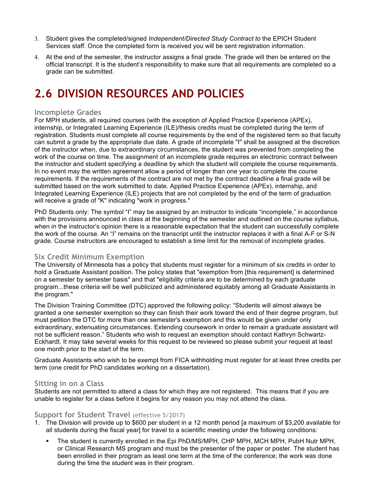- 3. Student gives the completed/signed *Independent/Directed Study Contract to* the EPICH Student Services staff. Once the completed form is received you will be sent registration information.
- 4. At the end of the semester, the instructor assigns a final grade. The grade will then be entered on the official transcript. It is the student's responsibility to make sure that all requirements are completed so a grade can be submitted.

# **2.6 DIVISION RESOURCES AND POLICIES**

#### **Incomplete Grades**

For MPH students, all required courses (with the exception of Applied Practice Experience (APEx), internship, or Integrated Learning Experience (ILE)/thesis credits must be completed during the term of registration. Students must complete all course requirements by the end of the registered term so that faculty can submit a grade by the appropriate due date. A grade of incomplete "I" shall be assigned at the discretion of the instructor when, due to extraordinary circumstances, the student was prevented from completing the work of the course on time. The assignment of an incomplete grade requires an electronic contract between the instructor and student specifying a deadline by which the student will complete the course requirements. In no event may the written agreement allow a period of longer than one year to complete the course requirements. If the requirements of the contract are not met by the contract deadline a final grade will be submitted based on the work submitted to date. Applied Practice Experience (APEx), internship, and Integrated Learning Experience (ILE) projects that are not completed by the end of the term of graduation will receive a grade of "K" indicating "work in progress."

PhD Students only: The symbol "I" may be assigned by an instructor to indicate "incomplete," in accordance with the provisions announced in class at the beginning of the semester and outlined on the course syllabus, when in the instructor's opinion there is a reasonable expectation that the student can successfully complete the work of the course. An "I" remains on the transcript until the instructor replaces it with a final A-F or S-N grade. Course instructors are encouraged to establish a time limit for the removal of incomplete grades.

### **Six Credit Minimum Exemption**

The University of Minnesota has a policy that students must register for a minimum of six credits in order to hold a Graduate Assistant position. The policy states that "exemption from [this requirement] is determined on a semester by semester basis" and that "eligibility criteria are to be determined by each graduate program...these criteria will be well publicized and administered equitably among all Graduate Assistants in the program."

The Division Training Committee (DTC) approved the following policy: "Students will almost always be granted a one semester exemption so they can finish their work toward the end of their degree program, but must petition the DTC for more than one semester's exemption and this would be given under only extraordinary, extenuating circumstances. Extending coursework in order to remain a graduate assistant will not be sufficient reason." Students who wish to request an exemption should contact Kathryn Schwartz-Eckhardt. It may take several weeks for this request to be reviewed so please submit your request at least one month prior to the start of the term.

Graduate Assistants who wish to be exempt from FICA withholding must register for at least three credits per term (one credit for PhD candidates working on a dissertation).

#### **Sitting in on a Class**

Students are not permitted to attend a class for which they are not registered. This means that if you are unable to register for a class before it begins for any reason you may not attend the class.

#### **Support for Student Travel** (effective 5/2017)

- 1. The Division will provide up to \$600 per student in a 12 month period [a maximum of \$3,200 available for all students during the fiscal year] for travel to a scientific meeting under the following conditions:
	- The student is currently enrolled in the Epi PhD/MS/MPH, CHP MPH, MCH MPH, PubH Nutr MPH, or Clinical Research MS program and must be the presenter of the paper or poster. The student has been enrolled in their program as least one term at the time of the conference; the work was done during the time the student was in their program.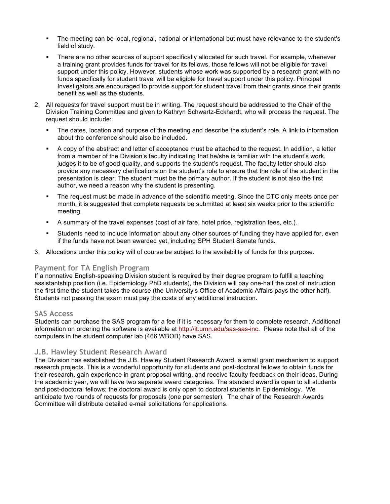- The meeting can be local, regional, national or international but must have relevance to the student's field of study.
- There are no other sources of support specifically allocated for such travel. For example, whenever a training grant provides funds for travel for its fellows, those fellows will not be eligible for travel support under this policy. However, students whose work was supported by a research grant with no funds specifically for student travel will be eligible for travel support under this policy. Principal Investigators are encouraged to provide support for student travel from their grants since their grants benefit as well as the students.
- 2. All requests for travel support must be in writing. The request should be addressed to the Chair of the Division Training Committee and given to Kathryn Schwartz-Eckhardt, who will process the request. The request should include:
	- The dates, location and purpose of the meeting and describe the student's role. A link to information about the conference should also be included.
	- § A copy of the abstract and letter of acceptance must be attached to the request. In addition, a letter from a member of the Division's faculty indicating that he/she is familiar with the student's work, judges it to be of good quality, and supports the student's request. The faculty letter should also provide any necessary clarifications on the student's role to ensure that the role of the student in the presentation is clear. The student must be the primary author. If the student is not also the first author, we need a reason why the student is presenting.
	- The request must be made in advance of the scientific meeting. Since the DTC only meets once per month, it is suggested that complete requests be submitted at least six weeks prior to the scientific meeting.
	- § A summary of the travel expenses (cost of air fare, hotel price, registration fees, etc.).
	- § Students need to include information about any other sources of funding they have applied for, even if the funds have not been awarded yet, including SPH Student Senate funds.
- 3. Allocations under this policy will of course be subject to the availability of funds for this purpose.

#### **Payment for TA English Program**

If a nonnative English-speaking Division student is required by their degree program to fulfill a teaching assistantship position (i.e. Epidemiology PhD students), the Division will pay one-half the cost of instruction the first time the student takes the course (the University's Office of Academic Affairs pays the other half). Students not passing the exam must pay the costs of any additional instruction.

#### **SAS Access**

Students can purchase the SAS program for a fee if it is necessary for them to complete research. Additional information on ordering the software is available at http://it.umn.edu/sas-sas-inc. Please note that all of the computers in the student computer lab (466 WBOB) have SAS.

### **J.B. Hawley Student Research Award**

The Division has established the J.B. Hawley Student Research Award, a small grant mechanism to support research projects. This is a wonderful opportunity for students and post-doctoral fellows to obtain funds for their research, gain experience in grant proposal writing, and receive faculty feedback on their ideas. During the academic year, we will have two separate award categories. The standard award is open to all students and post-doctoral fellows; the doctoral award is only open to doctoral students in Epidemiology. We anticipate two rounds of requests for proposals (one per semester). The chair of the Research Awards Committee will distribute detailed e-mail solicitations for applications.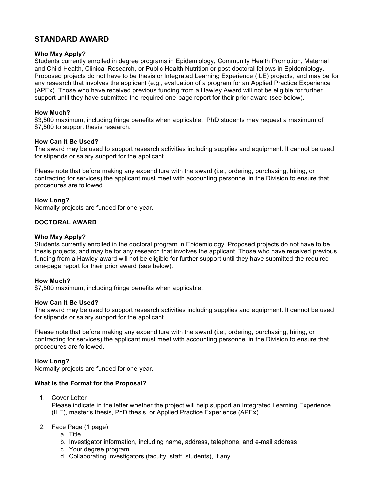# **STANDARD AWARD**

#### **Who May Apply?**

Students currently enrolled in degree programs in Epidemiology, Community Health Promotion, Maternal and Child Health, Clinical Research, or Public Health Nutrition or post-doctoral fellows in Epidemiology. Proposed projects do not have to be thesis or Integrated Learning Experience (ILE) projects, and may be for any research that involves the applicant (e.g., evaluation of a program for an Applied Practice Experience (APEx). Those who have received previous funding from a Hawley Award will not be eligible for further support until they have submitted the required one-page report for their prior award (see below).

#### **How Much?**

\$3,500 maximum, including fringe benefits when applicable. PhD students may request a maximum of \$7,500 to support thesis research.

#### **How Can It Be Used?**

The award may be used to support research activities including supplies and equipment. It cannot be used for stipends or salary support for the applicant.

Please note that before making any expenditure with the award (i.e., ordering, purchasing, hiring, or contracting for services) the applicant must meet with accounting personnel in the Division to ensure that procedures are followed.

#### **How Long?**

Normally projects are funded for one year.

#### **DOCTORAL AWARD**

#### **Who May Apply?**

Students currently enrolled in the doctoral program in Epidemiology. Proposed projects do not have to be thesis projects, and may be for any research that involves the applicant. Those who have received previous funding from a Hawley award will not be eligible for further support until they have submitted the required one-page report for their prior award (see below).

#### **How Much?**

\$7,500 maximum, including fringe benefits when applicable.

#### **How Can It Be Used?**

The award may be used to support research activities including supplies and equipment. It cannot be used for stipends or salary support for the applicant.

Please note that before making any expenditure with the award (i.e., ordering, purchasing, hiring, or contracting for services) the applicant must meet with accounting personnel in the Division to ensure that procedures are followed.

#### **How Long?**

Normally projects are funded for one year.

#### **What is the Format for the Proposal?**

1. Cover Letter

Please indicate in the letter whether the project will help support an Integrated Learning Experience (ILE), master's thesis, PhD thesis, or Applied Practice Experience (APEx).

- 2. Face Page (1 page)
	- a. Title
	- b. Investigator information, including name, address, telephone, and e-mail address
	- c. Your degree program
	- d. Collaborating investigators (faculty, staff, students), if any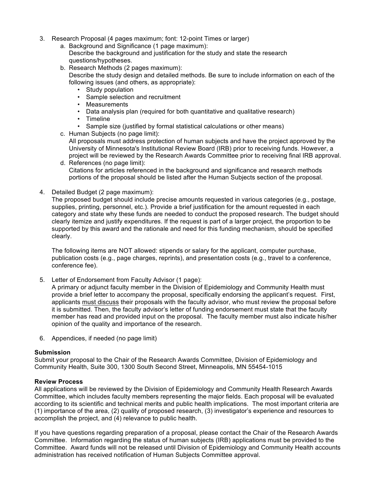- 3. Research Proposal (4 pages maximum; font: 12-point Times or larger)
	- a. Background and Significance (1 page maximum): Describe the background and justification for the study and state the research questions/hypotheses.
	- b. Research Methods (2 pages maximum): Describe the study design and detailed methods. Be sure to include information on each of the following issues (and others, as appropriate):
		- Study population
		- Sample selection and recruitment
		- Measurements
		- Data analysis plan (required for both quantitative and qualitative research)
		- Timeline
		- Sample size (justified by formal statistical calculations or other means)
	- c. Human Subjects (no page limit):

All proposals must address protection of human subjects and have the project approved by the University of Minnesota's Institutional Review Board (IRB) prior to receiving funds. However, a project will be reviewed by the Research Awards Committee prior to receiving final IRB approval.

- d. References (no page limit): Citations for articles referenced in the background and significance and research methods portions of the proposal should be listed after the Human Subjects section of the proposal.
- 4. Detailed Budget (2 page maximum):

The proposed budget should include precise amounts requested in various categories (e.g., postage, supplies, printing, personnel, etc.). Provide a brief justification for the amount requested in each category and state why these funds are needed to conduct the proposed research. The budget should clearly itemize and justify expenditures. If the request is part of a larger project, the proportion to be supported by this award and the rationale and need for this funding mechanism, should be specified clearly.

The following items are NOT allowed: stipends or salary for the applicant, computer purchase, publication costs (e.g., page charges, reprints), and presentation costs (e.g., travel to a conference, conference fee).

5. Letter of Endorsement from Faculty Advisor (1 page):

A primary or adjunct faculty member in the Division of Epidemiology and Community Health must provide a brief letter to accompany the proposal, specifically endorsing the applicant's request. First, applicants must discuss their proposals with the faculty advisor, who must review the proposal before it is submitted. Then, the faculty advisor's letter of funding endorsement must state that the faculty member has read and provided input on the proposal. The faculty member must also indicate his/her opinion of the quality and importance of the research.

6. Appendices, if needed (no page limit)

#### **Submission**

Submit your proposal to the Chair of the Research Awards Committee, Division of Epidemiology and Community Health, Suite 300, 1300 South Second Street, Minneapolis, MN 55454-1015

#### **Review Process**

All applications will be reviewed by the Division of Epidemiology and Community Health Research Awards Committee, which includes faculty members representing the major fields. Each proposal will be evaluated according to its scientific and technical merits and public health implications. The most important criteria are (1) importance of the area, (2) quality of proposed research, (3) investigator's experience and resources to accomplish the project, and (4) relevance to public health.

If you have questions regarding preparation of a proposal, please contact the Chair of the Research Awards Committee. Information regarding the status of human subjects (IRB) applications must be provided to the Committee. Award funds will not be released until Division of Epidemiology and Community Health accounts administration has received notification of Human Subjects Committee approval.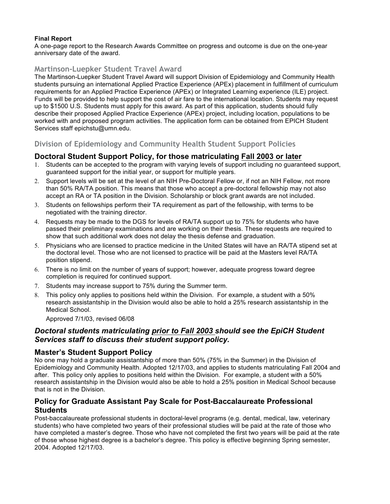#### **Final Report**

A one-page report to the Research Awards Committee on progress and outcome is due on the one-year anniversary date of the award.

# **Martinson-Luepker Student Travel Award**

The Martinson-Luepker Student Travel Award will support Division of Epidemiology and Community Health students pursuing an international Applied Practice Experience (APEx) placement in fulfillment of curriculum requirements for an Applied Practice Experience (APEx) or Integrated Learning experience (ILE) project. Funds will be provided to help support the cost of air fare to the international location. Students may request up to \$1500 U.S. Students must apply for this award. As part of this application, students should fully describe their proposed Applied Practice Experience (APEx) project, including location, populations to be worked with and proposed program activities. The application form can be obtained from EPICH Student Services staff epichstu@umn.edu.

# **Division of Epidemiology and Community Health Student Support Policies**

### **Doctoral Student Support Policy, for those matriculating Fall 2003 or later**

- 1. Students can be accepted to the program with varying levels of support including no guaranteed support, guaranteed support for the initial year, or support for multiple years.
- 2. Support levels will be set at the level of an NIH Pre-Doctoral Fellow or, if not an NIH Fellow, not more than 50% RA/TA position. This means that those who accept a pre-doctoral fellowship may not also accept an RA or TA position in the Division. Scholarship or block grant awards are not included.
- 3. Students on fellowships perform their TA requirement as part of the fellowship, with terms to be negotiated with the training director.
- 4. Requests may be made to the DGS for levels of RA/TA support up to 75% for students who have passed their preliminary examinations and are working on their thesis. These requests are required to show that such additional work does not delay the thesis defense and graduation.
- 5. Physicians who are licensed to practice medicine in the United States will have an RA/TA stipend set at the doctoral level. Those who are not licensed to practice will be paid at the Masters level RA/TA position stipend.
- 6. There is no limit on the number of years of support; however, adequate progress toward degree completion is required for continued support.
- 7. Students may increase support to 75% during the Summer term.
- 8. This policy only applies to positions held within the Division. For example, a student with a 50% research assistantship in the Division would also be able to hold a 25% research assistantship in the Medical School.

Approved 7/1/03, revised 06/08

# *Doctoral students matriculating prior to Fall 2003 should see the EpiCH Student Services staff to discuss their student support policy.*

### **Master's Student Support Policy**

No one may hold a graduate assistantship of more than 50% (75% in the Summer) in the Division of Epidemiology and Community Health. Adopted 12/17/03, and applies to students matriculating Fall 2004 and after. This policy only applies to positions held within the Division. For example, a student with a 50% research assistantship in the Division would also be able to hold a 25% position in Medical School because that is not in the Division.

# **Policy for Graduate Assistant Pay Scale for Post-Baccalaureate Professional Students**

Post-baccalaureate professional students in doctoral-level programs (e.g. dental, medical, law, veterinary students) who have completed two years of their professional studies will be paid at the rate of those who have completed a master's degree. Those who have not completed the first two years will be paid at the rate of those whose highest degree is a bachelor's degree. This policy is effective beginning Spring semester, 2004. Adopted 12/17/03.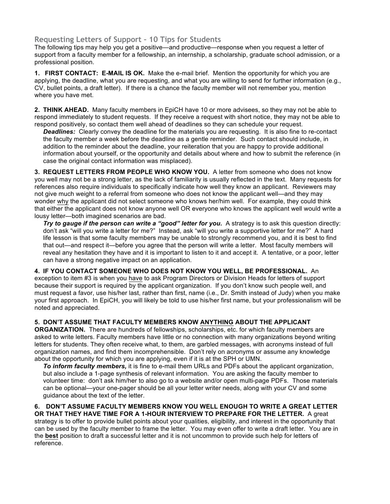# **Requesting Letters of Support – 10 Tips for Students**

The following tips may help you get a positive—and productive—response when you request a letter of support from a faculty member for a fellowship, an internship, a scholarship, graduate school admission, or a professional position.

**1. FIRST CONTACT: E-MAIL IS OK.** Make the e-mail brief. Mention the opportunity for which you are applying, the deadline, what you are requesting, and what you are willing to send for further information (e.g., CV, bullet points, a draft letter). If there is a chance the faculty member will not remember you, mention where you have met.

**2. THINK AHEAD.** Many faculty members in EpiCH have 10 or more advisees, so they may not be able to respond immediately to student requests. If they receive a request with short notice, they may not be able to respond positively, so contact them well ahead of deadlines so they can schedule your request.

*Deadlines:* Clearly convey the deadline for the materials you are requesting. It is also fine to re-contact the faculty member a week before the deadline as a gentle reminder. Such contact should include, in addition to the reminder about the deadline, your reiteration that you are happy to provide additional information about yourself, or the opportunity and details about where and how to submit the reference (in case the original contact information was misplaced).

**3. REQUEST LETTERS FROM PEOPLE WHO KNOW YOU.** A letter from someone who does not know you well may not be a strong letter, as the lack of familiarity is usually reflected in the text. Many requests for references also require individuals to specifically indicate how well they know an applicant. Reviewers may not give much weight to a referral from someone who does not know the applicant well—and they may wonder why the applicant did not select someone who knows her/him well. For example, they could think that either the applicant does not know anyone well OR everyone who knows the applicant well would write a lousy letter—both imagined scenarios are bad.

*Try to gauge if the person can write a "good" letter for you.* A strategy is to ask this question directly: don't ask "will you write a letter for me?" Instead, ask "will you write a supportive letter for me?" A hard life lesson is that some faculty members may be unable to strongly recommend you, and it is best to find that out—and respect it—before you agree that the person will write a letter. Most faculty members will reveal any hesitation they have and it is important to listen to it and accept it. A tentative, or a poor, letter can have a strong negative impact on an application.

**4. IF YOU CONTACT SOMEONE WHO DOES NOT KNOW YOU WELL, BE PROFESSIONAL.** An exception to item #3 is when you have to ask Program Directors or Division Heads for letters of support because their support is required by the applicant organization. If you don't know such people well, and must request a favor, use his/her last, rather than first, name (i.e., Dr. Smith instead of Judy) when you make your first approach. In EpiCH, you will likely be told to use his/her first name, but your professionalism will be noted and appreciated.

#### **5. DON'T ASSUME THAT FACULTY MEMBERS KNOW ANYTHING ABOUT THE APPLICANT**

**ORGANIZATION.** There are hundreds of fellowships, scholarships, etc. for which faculty members are asked to write letters. Faculty members have little or no connection with many organizations beyond writing letters for students. They often receive what, to them, are garbled messages, with acronyms instead of full organization names, and find them incomprehensible. Don't rely on acronyms or assume any knowledge about the opportunity for which you are applying, even if it is at the SPH or UMN.

*To inform faculty members,* it is fine to e-mail them URLs and PDFs about the applicant organization, but also include a 1-page synthesis of relevant information. You are asking the faculty member to volunteer time: don't ask him/her to also go to a website and/or open multi-page PDFs. Those materials can be optional—your one-pager should be all your letter writer needs, along with your CV and some guidance about the text of the letter.

#### **6. DON'T ASSUME FACULTY MEMBERS KNOW YOU WELL ENOUGH TO WRITE A GREAT LETTER OR THAT THEY HAVE TIME FOR A 1-HOUR INTERVIEW TO PREPARE FOR THE LETTER.** A great

strategy is to offer to provide bullet points about your qualities, eligibility, and interest in the opportunity that can be used by the faculty member to frame the letter. You may even offer to write a draft letter. You are in the **best** position to draft a successful letter and it is not uncommon to provide such help for letters of reference.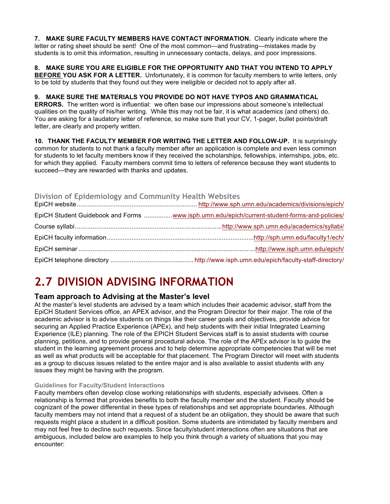**7. MAKE SURE FACULTY MEMBERS HAVE CONTACT INFORMATION.** Clearly indicate where the letter or rating sheet should be sent! One of the most common—and frustrating—mistakes made by students is to omit this information, resulting in unnecessary contacts, delays, and poor impressions.

**8. MAKE SURE YOU ARE ELIGIBLE FOR THE OPPORTUNITY AND THAT YOU INTEND TO APPLY BEFORE YOU ASK FOR A LETTER.** Unfortunately, it is common for faculty members to write letters, only to be told by students that they found out they were ineligible or decided not to apply after all.

#### **9. MAKE SURE THE MATERIALS YOU PROVIDE DO NOT HAVE TYPOS AND GRAMMATICAL**

**ERRORS.** The written word is influential: we often base our impressions about someone's intellectual qualities on the quality of his/her writing. While this may not be fair, it is what academics (and others) do. You are asking for a laudatory letter of reference, so make sure that your CV, 1-pager, bullet points/draft letter, are clearly and properly written.

**10. THANK THE FACULTY MEMBER FOR WRITING THE LETTER AND FOLLOW-UP.** It is surprisingly common for students to not thank a faculty member after an application is complete and even less common for students to let faculty members know if they received the scholarships, fellowships, internships, jobs, etc. for which they applied. Faculty members commit time to letters of reference because they want students to succeed—they are rewarded with thanks and updates.

#### **Division of Epidemiology and Community Health Websites**

| EpiCH Student Guidebook and Forms www.isph.umn.edu/epich/current-student-forms-and-policies/ |
|----------------------------------------------------------------------------------------------|
|                                                                                              |
|                                                                                              |
|                                                                                              |
|                                                                                              |

# **2.7 DIVISION ADVISING INFORMATION**

# **Team approach to Advising at the Master's level**

At the master's level students are advised by a team which includes their academic advisor, staff from the EpiCH Student Services office, an APEX advisor, and the Program Director for their major. The role of the academic advisor is to advise students on things like their career goals and objectives, provide advice for securing an Applied Practice Experience (APEx), and help students with their initial Integrated Learning Experience (ILE) planning. The role of the EPICH Student Services staff is to assist students with course planning, petitions, and to provide general procedural advice. The role of the APEx advisor is to guide the student in the learning agreement process and to help determine appropriate competencies that will be met as well as what products will be acceptable for that placement. The Program Director will meet with students as a group to discuss issues related to the entire major and is also available to assist students with any issues they might be having with the program.

#### **Guidelines for Faculty/Student Interactions**

Faculty members often develop close working relationships with students, especially advisees. Often a relationship is formed that provides benefits to both the faculty member and the student. Faculty should be cognizant of the power differential in these types of relationships and set appropriate boundaries. Although faculty members may not intend that a request of a student be an obligation, they should be aware that such requests might place a student in a difficult position. Some students are intimidated by faculty members and may not feel free to decline such requests. Since faculty/student interactions often are situations that are ambiguous, included below are examples to help you think through a variety of situations that you may encounter: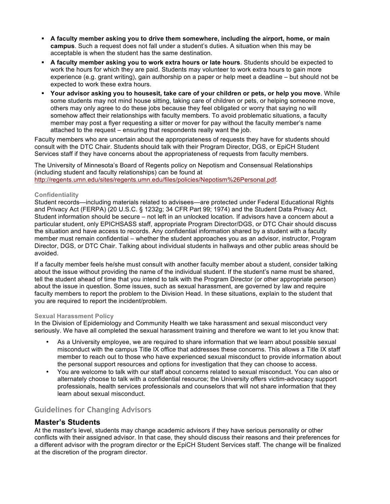- **A faculty member asking you to drive them somewhere, including the airport, home, or main campus**. Such a request does not fall under a student's duties. A situation when this may be acceptable is when the student has the same destination.
- § **A faculty member asking you to work extra hours or late hours**. Students should be expected to work the hours for which they are paid. Students may volunteer to work extra hours to gain more experience (e.g. grant writing), gain authorship on a paper or help meet a deadline – but should not be expected to work these extra hours.
- § **Your advisor asking you to housesit, take care of your children or pets, or help you move**. While some students may not mind house sitting, taking care of children or pets, or helping someone move, others may only agree to do these jobs because they feel obligated or worry that saying no will somehow affect their relationships with faculty members. To avoid problematic situations, a faculty member may post a flyer requesting a sitter or mover for pay without the faculty member's name attached to the request – ensuring that respondents really want the job.

Faculty members who are uncertain about the appropriateness of requests they have for students should consult with the DTC Chair. Students should talk with their Program Director, DGS, or EpiCH Student Services staff if they have concerns about the appropriateness of requests from faculty members.

The University of Minnesota's Board of Regents policy on Nepotism and Consensual Relationships (including student and faculty relationships) can be found at http://regents.umn.edu/sites/regents.umn.edu/files/policies/Nepotism%26Personal.pdf.

#### **Confidentiality**

Student records—including materials related to advisees—are protected under Federal Educational Rights and Privacy Act (FERPA) (20 U.S.C. § 1232g; 34 CFR Part 99; 1974) and the Student Data Privacy Act. Student information should be secure – not left in an unlocked location. If advisors have a concern about a particular student, only EPICHSASS staff, appropriate Program Director/DGS, or DTC Chair should discuss the situation and have access to records. Any confidential information shared by a student with a faculty member must remain confidential – whether the student approaches you as an advisor, instructor, Program Director, DGS, or DTC Chair. Talking about individual students in hallways and other public areas should be avoided.

If a faculty member feels he/she must consult with another faculty member about a student, consider talking about the issue without providing the name of the individual student. If the student's name must be shared, tell the student ahead of time that you intend to talk with the Program Director (or other appropriate person) about the issue in question. Some issues, such as sexual harassment, are governed by law and require faculty members to report the problem to the Division Head. In these situations, explain to the student that you are required to report the incident/problem.

#### **Sexual Harassment Policy**

In the Division of Epidemiology and Community Health we take harassment and sexual misconduct very seriously. We have all completed the sexual harassment training and therefore we want to let you know that:

- As a University employee, we are required to share information that we learn about possible sexual misconduct with the campus Title IX office that addresses these concerns. This allows a Title IX staff member to reach out to those who have experienced sexual misconduct to provide information about the personal support resources and options for investigation that they can choose to access.
- You are welcome to talk with our staff about concerns related to sexual misconduct. You can also or alternately choose to talk with a confidential resource; the University offers victim-advocacy support professionals, health services professionals and counselors that will not share information that they learn about sexual misconduct.

# **Guidelines for Changing Advisors**

### **Master's Students**

At the master's level, students may change academic advisors if they have serious personality or other conflicts with their assigned advisor. In that case, they should discuss their reasons and their preferences for a different advisor with the program director or the EpiCH Student Services staff. The change will be finalized at the discretion of the program director.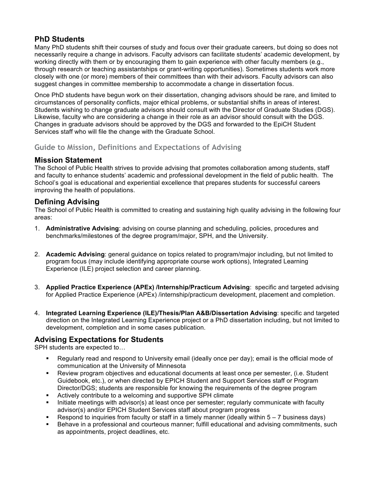# **PhD Students**

Many PhD students shift their courses of study and focus over their graduate careers, but doing so does not necessarily require a change in advisors. Faculty advisors can facilitate students' academic development, by working directly with them or by encouraging them to gain experience with other faculty members (e.g., through research or teaching assistantships or grant-writing opportunities). Sometimes students work more closely with one (or more) members of their committees than with their advisors. Faculty advisors can also suggest changes in committee membership to accommodate a change in dissertation focus.

Once PhD students have begun work on their dissertation, changing advisors should be rare, and limited to circumstances of personality conflicts, major ethical problems, or substantial shifts in areas of interest. Students wishing to change graduate advisors should consult with the Director of Graduate Studies (DGS). Likewise, faculty who are considering a change in their role as an advisor should consult with the DGS. Changes in graduate advisors should be approved by the DGS and forwarded to the EpiCH Student Services staff who will file the change with the Graduate School.

# **Guide to Mission, Definitions and Expectations of Advising**

# **Mission Statement**

The School of Public Health strives to provide advising that promotes collaboration among students, staff and faculty to enhance students' academic and professional development in the field of public health. The School's goal is educational and experiential excellence that prepares students for successful careers improving the health of populations.

# **Defining Advising**

The School of Public Health is committed to creating and sustaining high quality advising in the following four areas:

- 1. **Administrative Advising**: advising on course planning and scheduling, policies, procedures and benchmarks/milestones of the degree program/major, SPH, and the University.
- 2. **Academic Advising**: general guidance on topics related to program/major including, but not limited to program focus (may include identifying appropriate course work options), Integrated Learning Experience (ILE) project selection and career planning.
- 3. **Applied Practice Experience (APEx) /Internship/Practicum Advising**: specific and targeted advising for Applied Practice Experience (APEx) /internship/practicum development, placement and completion.
- 4. **Integrated Learning Experience (ILE)/Thesis/Plan A&B/Dissertation Advising**: specific and targeted direction on the Integrated Learning Experience project or a PhD dissertation including, but not limited to development, completion and in some cases publication.

# **Advising Expectations for Students**

SPH students are expected to…

- Regularly read and respond to University email (ideally once per day); email is the official mode of communication at the University of Minnesota
- Review program objectives and educational documents at least once per semester, (i.e. Student Guidebook, etc.), or when directed by EPICH Student and Support Services staff or Program Director/DGS; students are responsible for knowing the requirements of the degree program
- Actively contribute to a welcoming and supportive SPH climate
- Initiate meetings with advisor(s) at least once per semester; regularly communicate with faculty advisor(s) and/or EPICH Student Services staff about program progress
- § Respond to inquiries from faculty or staff in a timely manner (ideally within 5 7 business days)
- Behave in a professional and courteous manner; fulfill educational and advising commitments, such as appointments, project deadlines, etc.